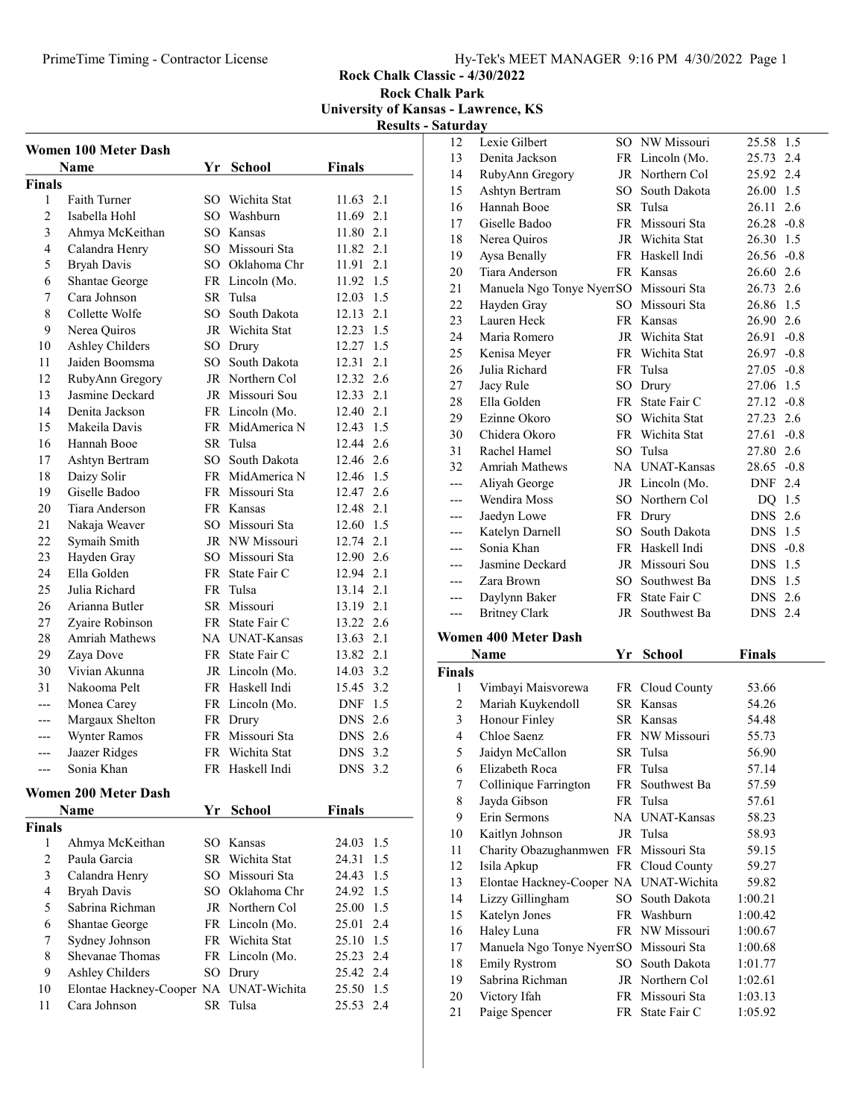## PrimeTime Timing - Contractor License Hy-Tek's MEET MANAGER 9:16 PM 4/30/2022 Page 1

Rock Chalk Classic - 4/30/2022

Rock Chalk Park University of Kansas - Lawrence, KS

Results - Saturday

|                | <b>Women 100 Meter Dash</b>            |    |                 |                   |
|----------------|----------------------------------------|----|-----------------|-------------------|
|                | Name                                   | Yr | <b>School</b>   | <b>Finals</b>     |
| Finals         |                                        |    |                 |                   |
| 1              | <b>Faith Turner</b>                    |    | SO Wichita Stat | 11.63 2.1         |
| $\overline{c}$ | Isabella Hohl                          |    | SO Washburn     | 11.69 2.1         |
| 3              | Ahmya McKeithan                        |    | SO Kansas       | 11.80 2.1         |
| 4              | Calandra Henry                         |    | SO Missouri Sta | 11.82 2.1         |
| 5              | <b>Bryah Davis</b>                     |    | SO Oklahoma Chr | 11.91 2.1         |
| 6              | Shantae George                         |    | FR Lincoln (Mo. | 11.92 1.5         |
| 7              | Cara Johnson                           |    | SR Tulsa        | 12.03 1.5         |
| 8              | Collette Wolfe                         |    | SO South Dakota | 12.13<br>2.1      |
| 9              | Nerea Quiros                           |    | JR Wichita Stat | 12.23 1.5         |
| 10             | Ashley Childers                        |    | SO Drury        | 12.27 1.5         |
| 11             | Jaiden Boomsma                         |    | SO South Dakota | 12.31 2.1         |
| 12             | RubyAnn Gregory                        |    | JR Northern Col | 12.32 2.6         |
| 13             | Jasmine Deckard                        |    | JR Missouri Sou | 12.33 2.1         |
| 14             | Denita Jackson                         |    | FR Lincoln (Mo. | 12.40 2.1         |
| 15             | Makeila Davis                          |    | FR MidAmerica N | 12.43 1.5         |
| 16             | Hannah Booe                            |    | SR Tulsa        | 12.44 2.6         |
| 17             | Ashtyn Bertram                         |    | SO South Dakota | 12.46 2.6         |
| 18             | Daizy Solir                            |    | FR MidAmerica N | 12.46 1.5         |
| 19             | Giselle Badoo                          |    | FR Missouri Sta | 12.47 2.6         |
| 20             | Tiara Anderson                         |    | FR Kansas       | 12.48 2.1         |
| 21             | Nakaja Weaver                          |    | SO Missouri Sta | 12.60 1.5         |
| 22             | Symaih Smith                           |    | JR NW Missouri  | 12.74 2.1         |
| 23             | Hayden Gray                            |    | SO Missouri Sta | 12.90 2.6         |
| 24             | Ella Golden                            |    | FR State Fair C | 12.94 2.1         |
| 25             | Julia Richard                          |    | FR Tulsa        | 13.14 2.1         |
| 26             | Arianna Butler                         |    | SR Missouri     | 13.19 2.1         |
| 27             | Zyaire Robinson                        |    | FR State Fair C | 13.22 2.6         |
| 28             | Amriah Mathews                         |    | NA UNAT-Kansas  | 13.63 2.1         |
| 29             | Zaya Dove                              |    | FR State Fair C | 13.82 2.1         |
| 30             | Vivian Akunna                          |    | JR Lincoln (Mo. | 14.03 3.2         |
| 31             | Nakooma Pelt                           |    | FR Haskell Indi | 15.45 3.2         |
| ---            | Monea Carey                            |    | FR Lincoln (Mo. | DNF 1.5           |
| ---            | Margaux Shelton                        |    | FR Drury        | DNS 2.6           |
| ---            | Wynter Ramos                           |    | FR Missouri Sta | DNS 2.6           |
| ---            | Jaazer Ridges                          |    | FR Wichita Stat | DNS 3.2           |
| ---            | Sonia Khan                             | FR | Haskell Indi    | 3.2<br><b>DNS</b> |
|                |                                        |    |                 |                   |
|                | Women 200 Meter Dash                   |    |                 |                   |
| Finals         | Name                                   |    | Yr School       | <b>Finals</b>     |
| 1              | Ahmya McKeithan                        |    | SO Kansas       | 1.5<br>24.03      |
| $\overline{c}$ | Paula Garcia                           |    | SR Wichita Stat | 24.31<br>1.5      |
| 3              | Calandra Henry                         |    | SO Missouri Sta | 24.43<br>1.5      |
| $\overline{4}$ | <b>Bryah Davis</b>                     |    | SO Oklahoma Chr | 24.92 1.5         |
| 5              | Sabrina Richman                        |    | JR Northern Col | 25.00 1.5         |
| 6              | Shantae George                         |    | FR Lincoln (Mo. | 2.4<br>25.01      |
| 7              | Sydney Johnson                         |    | FR Wichita Stat | 25.10 1.5         |
| 8              | Shevanae Thomas                        |    | FR Lincoln (Mo. | 25.23 2.4         |
| 9              | Ashley Childers                        | SO |                 | 25.42 2.4         |
| 10             | Elontae Hackney-Cooper NA UNAT-Wichita |    | Drury           | 25.50 1.5         |
| 11             | Cara Johnson                           | SR | Tulsa           | 25.53 2.4         |
|                |                                        |    |                 |                   |

| 12             | Lexie Gilbert               | SO.             | NW Missouri        | 25.58         | 1.5    |
|----------------|-----------------------------|-----------------|--------------------|---------------|--------|
| 13             | Denita Jackson              |                 | FR Lincoln (Mo.    | 25.73         | 2.4    |
| 14             | RubyAnn Gregory             | JR              | Northern Col       | 25.92         | 2.4    |
| 15             | Ashtyn Bertram              | SO              | South Dakota       | 26.00         | 1.5    |
| 16             | Hannah Booe                 | <b>SR</b>       | Tulsa              | 26.11         | 2.6    |
| 17             | Giselle Badoo               | FR              | Missouri Sta       | 26.28         | $-0.8$ |
| 18             | Nerea Quiros                | <b>JR</b>       | Wichita Stat       | 26.30         | 1.5    |
| 19             | Aysa Benally                | FR              | Haskell Indi       | 26.56         | $-0.8$ |
| 20             | Tiara Anderson              | FR              | Kansas             | 26.60         | 2.6    |
| 21             | Manuela Ngo Tonye NyemSO    |                 | Missouri Sta       | 26.73         | 2.6    |
| 22             | Hayden Gray                 | SO <sub>1</sub> | Missouri Sta       | 26.86         | 1.5    |
| 23             | Lauren Heck                 | FR              | Kansas             | 26.90         | 2.6    |
| 24             | Maria Romero                |                 | JR Wichita Stat    | 26.91         | $-0.8$ |
| 25             | Kenisa Meyer                | FR              | Wichita Stat       | 26.97         | $-0.8$ |
| 26             | Julia Richard               | FR              | Tulsa              | 27.05         | $-0.8$ |
| 27             | Jacy Rule                   |                 | SO Drury           | 27.06         | 1.5    |
| 28             | Ella Golden                 | <b>FR</b>       | State Fair C       | 27.12         | $-0.8$ |
| 29             | Ezinne Okoro                |                 | SO Wichita Stat    | 27.23         | 2.6    |
| 30             | Chidera Okoro               | FR              | Wichita Stat       | 27.61         | $-0.8$ |
| 31             | Rachel Hamel                | SO.             | Tulsa              | 27.80         | 2.6    |
| 32             | <b>Amriah Mathews</b>       | NA              | <b>UNAT-Kansas</b> | 28.65         | $-0.8$ |
| ---            | Aliyah George               |                 | JR Lincoln (Mo.    | <b>DNF</b>    | 2.4    |
| ---            | Wendira Moss                |                 | SO Northern Col    | DO.           | 1.5    |
| ---            | Jaedyn Lowe                 | FR              | Drury              | <b>DNS</b>    | 2.6    |
| ---            | Katelyn Darnell             | SO.             | South Dakota       | <b>DNS</b>    | 1.5    |
| ---            | Sonia Khan                  |                 | FR Haskell Indi    | DNS.          | $-0.8$ |
| ---            | Jasmine Deckard             |                 | JR Missouri Sou    | <b>DNS</b>    | 1.5    |
| ---            | Zara Brown                  | SO              | Southwest Ba       | <b>DNS</b>    | 1.5    |
| ---            | Daylynn Baker               | FR              | State Fair C       | <b>DNS</b>    | 2.6    |
| ---            | <b>Britney Clark</b>        | JR              | Southwest Ba       | <b>DNS</b>    | 2.4    |
|                | <b>Women 400 Meter Dash</b> |                 |                    |               |        |
|                | Name                        | Yr              | <b>School</b>      | <b>Finals</b> |        |
| <b>Finals</b>  |                             |                 |                    |               |        |
| $\mathbf{1}$   | Vimbayi Maisvorewa          |                 | FR Cloud County    | 53.66         |        |
| $\overline{c}$ | Mariah Kuykendoll           | SR              | Kansas             | 54.26         |        |
| 3              | Honour Finley               | SR              | Kansas             | 54.48         |        |
| $\overline{4}$ | Chloe Saenz                 | FR              | NW Missouri        | 55.73         |        |

| 2  | Mariah Kuykendoll                      |     | SR Kansas       | 54.26   |
|----|----------------------------------------|-----|-----------------|---------|
| 3  | Honour Finley                          |     | SR Kansas       | 54.48   |
| 4  | Chloe Saenz                            |     | FR NW Missouri  | 55.73   |
| 5  | Jaidyn McCallon                        |     | SR Tulsa        | 56.90   |
| 6  | Elizabeth Roca                         |     | FR Tulsa        | 57.14   |
| 7  | Collinique Farrington                  |     | FR Southwest Ba | 57.59   |
| 8  | Jayda Gibson                           |     | FR Tulsa        | 57.61   |
| 9  | Erin Sermons                           |     | NA UNAT-Kansas  | 58.23   |
| 10 | Kaitlyn Johnson                        |     | JR Tulsa        | 58.93   |
| 11 | Charity Obazughanmwen FR Missouri Sta  |     |                 | 59.15   |
| 12 | Isila Apkup                            |     | FR Cloud County | 59.27   |
| 13 | Elontae Hackney-Cooper NA UNAT-Wichita |     |                 | 59.82   |
| 14 | Lizzy Gillingham                       | SO. | South Dakota    | 1:00.21 |
| 15 | Katelyn Jones                          |     | FR Washburn     | 1:00.42 |
| 16 | Haley Luna                             |     | FR NW Missouri  | 1:00.67 |
| 17 | Manuela Ngo Tonye NyemSO Missouri Sta  |     |                 | 1:00.68 |
| 18 | <b>Emily Rystrom</b>                   |     | SO South Dakota | 1:01.77 |
| 19 | Sabrina Richman                        |     | JR Northern Col | 1:02.61 |
| 20 | Victory Ifah                           |     | FR Missouri Sta | 1:03.13 |
| 21 | Paige Spencer                          |     | FR State Fair C | 1:05.92 |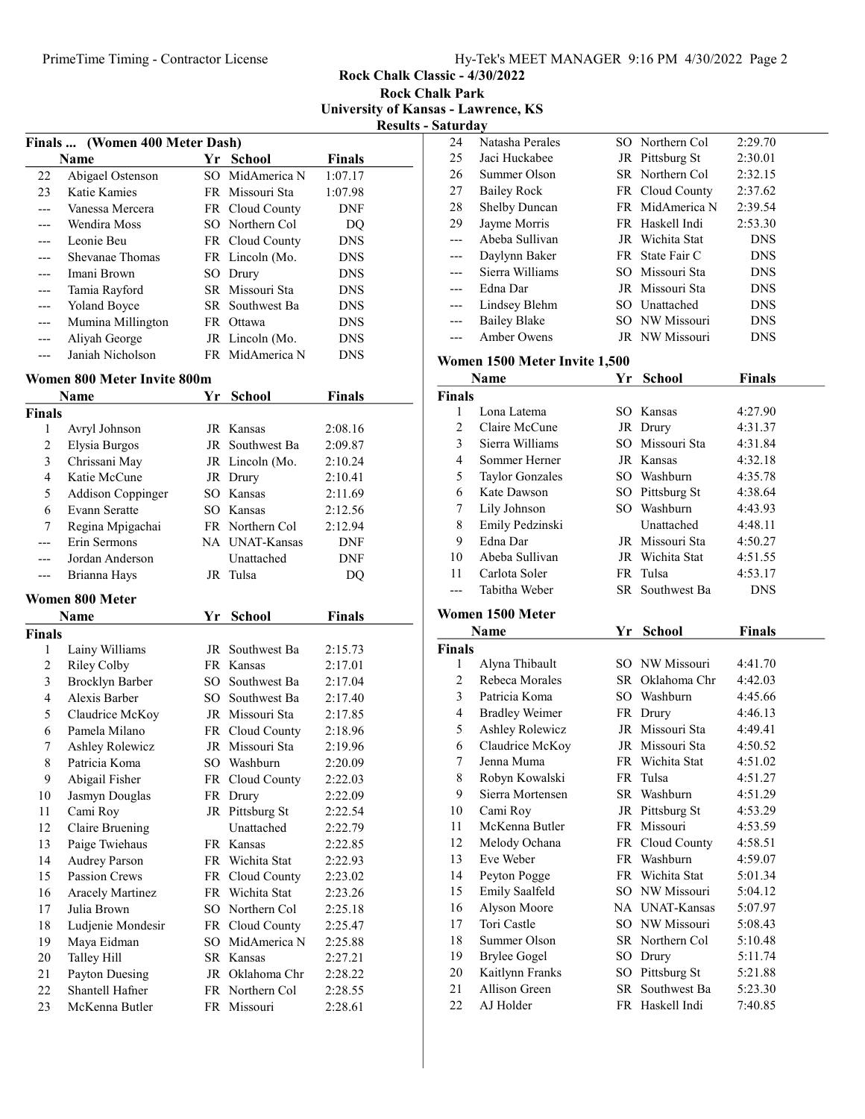Rock Chalk Classic - 4/30/2022 Rock Chalk Park

University of Kansas - Lawrence, KS

Results - Saturday

|     | Finals  (Women 400 Meter Dash) |    |                 |            |  |
|-----|--------------------------------|----|-----------------|------------|--|
|     | Name                           | Yr | <b>School</b>   | Finals     |  |
| 22  | Abigael Ostenson               |    | SO MidAmerica N | 1:07.17    |  |
| 23  | Katie Kamies                   |    | FR Missouri Sta | 1:07.98    |  |
|     | Vanessa Mercera                |    | FR Cloud County | <b>DNF</b> |  |
|     | Wendira Moss                   |    | SO Northern Col | DO         |  |
|     | Leonie Beu                     |    | FR Cloud County | <b>DNS</b> |  |
|     | Shevanae Thomas                |    | FR Lincoln (Mo. | <b>DNS</b> |  |
| --- | Imani Brown                    |    | SO Drury        | <b>DNS</b> |  |
|     | Tamia Rayford                  |    | SR Missouri Sta | <b>DNS</b> |  |
|     | <b>Yoland Boyce</b>            |    | SR Southwest Ba | <b>DNS</b> |  |
| --- | Mumina Millington              |    | FR Ottawa       | <b>DNS</b> |  |
|     | Aliyah George                  |    | JR Lincoln (Mo. | <b>DNS</b> |  |
|     | Janiah Nicholson               |    | FR MidAmerica N | <b>DNS</b> |  |

# Women 800 Meter Invite 800m

|                | <b>Name</b>              | Yr       | <b>School</b>   | <b>Finals</b> |  |
|----------------|--------------------------|----------|-----------------|---------------|--|
| Finals         |                          |          |                 |               |  |
| 1              | Avryl Johnson            | JR       | Kansas          | 2:08.16       |  |
| $\overline{2}$ | Elysia Burgos            | JR       | Southwest Ba    | 2:09.87       |  |
| 3              | Chrissani May            |          | JR Lincoln (Mo. | 2:10.24       |  |
| $\overline{4}$ | Katie McCune             | JR       | Drury           | 2:10.41       |  |
| 5              | <b>Addison Coppinger</b> |          | SO Kansas       | 2:11.69       |  |
| 6              | Evann Seratte            |          | SO Kansas       | 2:12.56       |  |
| 7              | Regina Mpigachai         |          | FR Northern Col | 2:12.94       |  |
| ---            | Erin Sermons             |          | NA UNAT-Kansas  | <b>DNF</b>    |  |
|                | Jordan Anderson          |          | Unattached      | <b>DNF</b>    |  |
| ---            | Brianna Hays             | JR       | Tulsa           | DQ            |  |
|                | Women 800 Meter          |          |                 |               |  |
|                | Name                     | Yr       | <b>School</b>   | <b>Finals</b> |  |
| Finals         |                          |          |                 |               |  |
| 1              | Lainy Williams           | JR       | Southwest Ba    | 2:15.73       |  |
| $\overline{c}$ | <b>Riley Colby</b>       |          | FR Kansas       | 2:17.01       |  |
| 3              | <b>Brocklyn Barber</b>   | $SO_{-}$ | Southwest Ba    | 2:17.04       |  |
| 4              | Alexis Barber            | $SO^-$   | Southwest Ba    | 2:17.40       |  |
| 5              | Claudrice McKoy          |          | JR Missouri Sta | 2:17.85       |  |
| 6              | Pamela Milano            |          | FR Cloud County | 2:18.96       |  |
| 7              | <b>Ashley Rolewicz</b>   |          | JR Missouri Sta | 2:19.96       |  |
| 8              | Patricia Koma            |          | SO Washburn     | 2:20.09       |  |
| 9              | Abigail Fisher           |          | FR Cloud County | 2:22.03       |  |
| 10             | Jasmyn Douglas           |          | FR Drury        | 2:22.09       |  |
| 11             | Cami Roy                 | JR       | Pittsburg St    | 2:22.54       |  |
| 12             | Claire Bruening          |          | Unattached      | 2:22.79       |  |
| 13             | Paige Twiehaus           |          | FR Kansas       | 2:22.85       |  |
| 14             | <b>Audrey Parson</b>     |          | FR Wichita Stat | 2:22.93       |  |
| 15             | <b>Passion Crews</b>     |          | FR Cloud County | 2:23.02       |  |
| 16             | <b>Aracely Martinez</b>  |          | FR Wichita Stat | 2:23.26       |  |
| 17             | Julia Brown              |          | SO Northern Col | 2:25.18       |  |
| 18             | Ludjenie Mondesir        | FR       | Cloud County    | 2:25.47       |  |
| 19             | Maya Eidman              | $SO^-$   | MidAmerica N    | 2:25.88       |  |
| 20             | <b>Talley Hill</b>       |          | SR Kansas       | 2:27.21       |  |
| 21             | Payton Duesing           | JR       | Oklahoma Chr    | 2:28.22       |  |
| 22             | Shantell Hafner          | FR       | Northern Col    | 2:28.55       |  |
| 23             | McKenna Butler           | FR       | Missouri        | 2:28.61       |  |

| 24             | Natasha Perales               |    | SO Northern Col                    | 2:29.70            |  |
|----------------|-------------------------------|----|------------------------------------|--------------------|--|
| 25             | Jaci Huckabee                 |    | JR Pittsburg St                    | 2:30.01            |  |
| 26             | Summer Olson                  |    | SR Northern Col                    | 2:32.15            |  |
| 27             | <b>Bailey Rock</b>            |    | FR Cloud County                    | 2:37.62            |  |
| 28             | Shelby Duncan                 |    | FR MidAmerica N                    | 2:39.54            |  |
| 29             | Jayme Morris                  |    | FR Haskell Indi                    | 2:53.30            |  |
| ---            | Abeba Sullivan                |    | JR Wichita Stat                    | DNS                |  |
| ---            | Daylynn Baker                 |    | FR State Fair C                    | <b>DNS</b>         |  |
| ---            | Sierra Williams               |    | SO Missouri Sta                    | <b>DNS</b>         |  |
| ---            | Edna Dar                      |    | JR Missouri Sta                    | <b>DNS</b>         |  |
| ---            | Lindsey Blehm                 |    | SO Unattached                      | <b>DNS</b>         |  |
| ---            | <b>Bailey Blake</b>           |    | SO NW Missouri                     | <b>DNS</b>         |  |
| ---            | <b>Amber Owens</b>            |    | JR NW Missouri                     | DNS                |  |
|                |                               |    |                                    |                    |  |
|                | Women 1500 Meter Invite 1,500 |    |                                    |                    |  |
|                | Name                          | Υr | <b>School</b>                      | <b>Finals</b>      |  |
| Finals         |                               |    |                                    |                    |  |
| 1              | Lona Latema                   |    | SO Kansas                          | 4:27.90            |  |
| $\overline{2}$ | Claire McCune                 |    | JR Drury                           | 4:31.37            |  |
| 3              | Sierra Williams               |    | SO Missouri Sta                    | 4:31.84            |  |
| $\overline{4}$ | Sommer Herner                 |    | JR Kansas                          | 4:32.18            |  |
| 5              | <b>Taylor Gonzales</b>        |    | SO Washburn                        | 4:35.78            |  |
| 6              | Kate Dawson                   |    | SO Pittsburg St                    | 4:38.64            |  |
| $\tau$         | Lily Johnson                  |    | SO Washburn                        | 4:43.93            |  |
| $\,$ $\,$      | Emily Pedzinski               |    | Unattached                         | 4:48.11            |  |
| 9              | Edna Dar                      |    | JR Missouri Sta                    | 4:50.27            |  |
| 10             | Abeba Sullivan                |    | JR Wichita Stat                    | 4:51.55            |  |
| 11             | Carlota Soler                 |    | FR Tulsa                           | 4:53.17            |  |
|                | Tabitha Weber                 |    | SR Southwest Ba                    | DNS                |  |
|                | Women 1500 Meter              |    |                                    |                    |  |
|                | Name                          | Yr | <b>School</b>                      | <b>Finals</b>      |  |
| Finals         |                               |    |                                    |                    |  |
| 1              | Alyna Thibault                |    | SO NW Missouri                     | 4:41.70            |  |
| $\mathfrak{2}$ | Rebeca Morales                |    | SR Oklahoma Chr                    | 4:42.03            |  |
| 3              |                               |    |                                    |                    |  |
|                |                               |    |                                    |                    |  |
|                | Patricia Koma                 |    | SO Washburn                        | 4:45.66            |  |
| 4              | <b>Bradley Weimer</b>         |    | FR Drury                           | 4:46.13            |  |
| 5              | <b>Ashley Rolewicz</b>        |    | JR Missouri Sta                    | 4:49.41            |  |
| 6              | Claudrice McKoy               |    | JR Missouri Sta                    | 4:50.52            |  |
| 7              | Jenna Muma                    | FR | Wichita Stat                       | 4:51.02            |  |
| 8              | Robyn Kowalski                |    | FR Tulsa                           | 4:51.27            |  |
| 9              | Sierra Mortensen              |    | SR Washburn                        | 4:51.29            |  |
| $10\,$         | Cami Roy                      |    | JR Pittsburg St                    | 4:53.29            |  |
| 11             | McKenna Butler                |    | FR Missouri                        | 4:53.59            |  |
| 12             | Melody Ochana                 |    | FR Cloud County                    | 4:58.51            |  |
| 13             | Eve Weber                     |    | FR Washburn                        | 4:59.07            |  |
| 14             | Peyton Pogge                  |    | FR Wichita Stat                    | 5:01.34            |  |
| 15             | Emily Saalfeld                |    | SO NW Missouri                     | 5:04.12            |  |
| 16             | Alyson Moore                  |    | NA UNAT-Kansas                     | 5:07.97            |  |
| 17             | Tori Castle                   |    | SO NW Missouri                     | 5:08.43            |  |
| 18             | Summer Olson                  |    | SR Northern Col                    | 5:10.48            |  |
| 19             | <b>Brylee Gogel</b>           |    | SO Drury                           | 5:11.74            |  |
| 20             | Kaitlynn Franks               |    | SO Pittsburg St                    | 5:21.88            |  |
| 21<br>22       | Allison Green<br>AJ Holder    |    | SR Southwest Ba<br>FR Haskell Indi | 5:23.30<br>7:40.85 |  |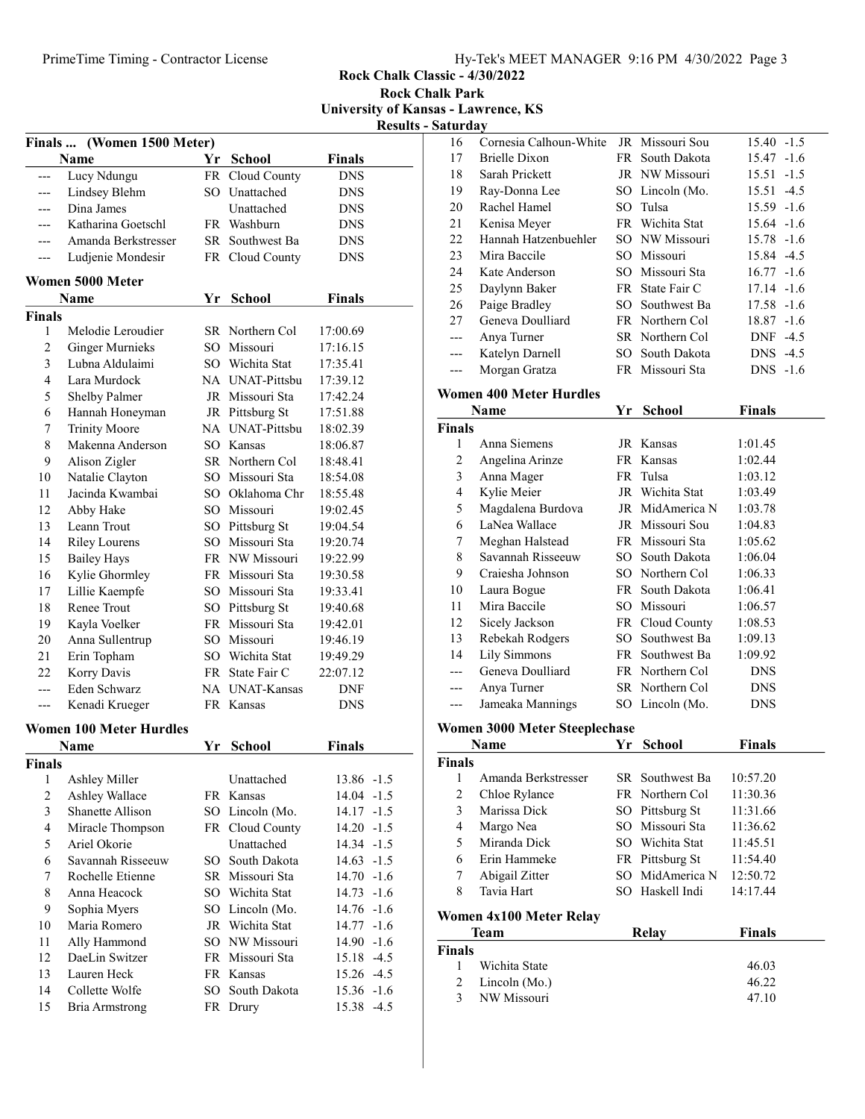Rock Chalk Classic - 4/30/2022 Rock Chalk Park

University of Kansas - Lawrence, KS

|  |  | <b>Results - Saturday</b> |
|--|--|---------------------------|
|--|--|---------------------------|

|                | Finals  (Women 1500 Meter)     |      |                                   |                 |  |  |
|----------------|--------------------------------|------|-----------------------------------|-----------------|--|--|
|                | Name                           | Yr   | <b>School</b>                     | <b>Finals</b>   |  |  |
| ---            | Lucy Ndungu                    | FR   | Cloud County                      | <b>DNS</b>      |  |  |
| ---            | Lindsey Blehm                  |      | SO Unattached                     | DNS             |  |  |
|                | Dina James                     |      | Unattached                        | <b>DNS</b>      |  |  |
|                | Katharina Goetschl             |      | FR Washburn                       | <b>DNS</b>      |  |  |
|                | Amanda Berkstresser            |      | SR Southwest Ba                   | <b>DNS</b>      |  |  |
|                | Ludjenie Mondesir              |      | FR Cloud County                   | DNS             |  |  |
|                |                                |      |                                   |                 |  |  |
|                | Women 5000 Meter               |      |                                   |                 |  |  |
|                | <b>Name</b>                    | Yr   | <b>School</b>                     | <b>Finals</b>   |  |  |
| <b>Finals</b>  |                                |      |                                   |                 |  |  |
| 1              | Melodie Leroudier              |      | SR Northern Col                   | 17:00.69        |  |  |
| $\overline{c}$ | <b>Ginger Murnieks</b>         |      | SO Missouri                       | 17:16.15        |  |  |
| 3              | Lubna Aldulaimi                |      | SO Wichita Stat                   | 17:35.41        |  |  |
| 4              | Lara Murdock                   |      | NA UNAT-Pittsbu                   | 17:39.12        |  |  |
| 5              | Shelby Palmer                  |      | JR Missouri Sta                   | 17:42.24        |  |  |
| 6              | Hannah Honeyman                |      | JR Pittsburg St                   | 17:51.88        |  |  |
| 7              | <b>Trinity Moore</b>           |      | NA UNAT-Pittsbu                   | 18:02.39        |  |  |
| 8              | Makenna Anderson               |      | SO Kansas                         | 18:06.87        |  |  |
| 9              | Alison Zigler                  |      | SR Northern Col                   | 18:48.41        |  |  |
| 10             | Natalie Clayton                |      | SO Missouri Sta                   | 18:54.08        |  |  |
| 11             | Jacinda Kwambai                |      | SO Oklahoma Chr                   | 18:55.48        |  |  |
| 12             | Abby Hake                      |      | SO Missouri                       | 19:02.45        |  |  |
| 13             | Leann Trout                    |      | SO Pittsburg St                   | 19:04.54        |  |  |
| 14             | <b>Riley Lourens</b>           |      | SO Missouri Sta                   | 19:20.74        |  |  |
| 15             | <b>Bailey Hays</b>             |      | FR NW Missouri                    | 19:22.99        |  |  |
| 16             | Kylie Ghormley                 |      | FR Missouri Sta                   | 19:30.58        |  |  |
| 17             | Lillie Kaempfe                 |      | SO Missouri Sta                   | 19:33.41        |  |  |
| 18             | Renee Trout                    |      | SO Pittsburg St                   | 19:40.68        |  |  |
| 19             | Kayla Voelker                  |      | FR Missouri Sta                   | 19:42.01        |  |  |
| 20             | Anna Sullentrup                |      | SO Missouri                       | 19:46.19        |  |  |
| 21             | Erin Topham                    |      | SO Wichita Stat                   | 19:49.29        |  |  |
| 22             | Korry Davis                    |      | FR State Fair C                   | 22:07.12        |  |  |
| ---            | Eden Schwarz                   |      | NA UNAT-Kansas                    | DNF             |  |  |
| ---            | Kenadi Krueger                 |      | FR Kansas                         | <b>DNS</b>      |  |  |
|                | <b>Women 100 Meter Hurdles</b> |      |                                   |                 |  |  |
|                | <b>Name</b>                    | Yr   | <b>School</b>                     | <b>Finals</b>   |  |  |
| Finals         |                                |      |                                   |                 |  |  |
| 1              | Ashley Miller                  |      | Unattached                        | 13.86<br>$-1.5$ |  |  |
| $\overline{c}$ | Ashley Wallace                 |      | FR Kansas                         | 14.04<br>$-1.5$ |  |  |
| 3              | Shanette Allison               |      | SO Lincoln (Mo.                   | 14.17<br>$-1.5$ |  |  |
| $\overline{4}$ | Miracle Thompson               | FR   | Cloud County                      | 14.20<br>$-1.5$ |  |  |
| 5              | Ariel Okorie                   |      | Unattached                        | 14.34<br>$-1.5$ |  |  |
| 6              | Savannah Risseeuw              |      | SO South Dakota                   | 14.63<br>$-1.5$ |  |  |
| 7              | Rochelle Etienne               |      | SR Missouri Sta                   | $14.70 - 1.6$   |  |  |
| 8              | Anna Heacock                   |      | SO Wichita Stat                   | 14.73<br>$-1.6$ |  |  |
| 9              | Sophia Myers                   |      | SO Lincoln (Mo.                   | 14.76 -1.6      |  |  |
| 10             | Maria Romero                   |      | JR Wichita Stat                   | 14.77<br>$-1.6$ |  |  |
|                |                                |      |                                   |                 |  |  |
| 11<br>12       | Ally Hammond<br>DaeLin Switzer |      | SO NW Missouri<br>FR Missouri Sta | 14.90<br>$-1.6$ |  |  |
|                |                                |      |                                   | $-4.5$<br>15.18 |  |  |
| 13<br>14       | Lauren Heck<br>Collette Wolfe  | SO - | FR Kansas<br>South Dakota         | $-4.5$<br>15.26 |  |  |
|                |                                |      |                                   | 15.36<br>$-1.6$ |  |  |
| 15             | <b>Bria Armstrong</b>          |      | FR Drury                          | 15.38<br>$-4.5$ |  |  |

| <b>aturday</b> |                                      |    |                 |               |        |
|----------------|--------------------------------------|----|-----------------|---------------|--------|
| 16             | Cornesia Calhoun-White               |    | JR Missouri Sou | $15.40 -1.5$  |        |
| 17             | Brielle Dixon                        |    | FR South Dakota | 15.47         | $-1.6$ |
| 18             | Sarah Prickett                       |    | JR NW Missouri  | 15.51         | $-1.5$ |
| 19             | Ray-Donna Lee                        |    | SO Lincoln (Mo. | 15.51         | $-4.5$ |
| 20             | Rachel Hamel                         |    | SO Tulsa        | 15.59 -1.6    |        |
| 21             | Kenisa Meyer                         |    | FR Wichita Stat | 15.64 -1.6    |        |
| 22             | Hannah Hatzenbuehler                 |    | SO NW Missouri  | 15.78 -1.6    |        |
| 23             | Mira Baccile                         |    | SO Missouri     | 15.84 -4.5    |        |
| 24             | Kate Anderson                        |    | SO Missouri Sta | $16.77 - 1.6$ |        |
| 25             | Daylynn Baker                        |    | FR State Fair C | $17.14 - 1.6$ |        |
| 26             | Paige Bradley                        |    | SO Southwest Ba | 17.58 -1.6    |        |
| 27             | Geneva Doulliard                     |    | FR Northern Col | 18.87 -1.6    |        |
| $---$          | Anya Turner                          |    | SR Northern Col | DNF -4.5      |        |
| ---            | Katelyn Darnell                      |    | SO South Dakota | DNS -4.5      |        |
| ---            | Morgan Gratza                        |    | FR Missouri Sta | DNS.          | $-1.6$ |
|                | Women 400 Meter Hurdles              |    |                 |               |        |
|                | Name                                 | Yr | <b>School</b>   | <b>Finals</b> |        |
| Finals         |                                      |    |                 |               |        |
| 1              | Anna Siemens                         |    | JR Kansas       | 1:01.45       |        |
| $\overline{c}$ | Angelina Arinze                      |    | FR Kansas       | 1:02.44       |        |
| 3              | Anna Mager                           |    | FR Tulsa        | 1:03.12       |        |
| $\overline{4}$ | Kylie Meier                          |    | JR Wichita Stat | 1:03.49       |        |
| 5              | Magdalena Burdova                    |    | JR MidAmerica N | 1:03.78       |        |
| 6              | LaNea Wallace                        |    | JR Missouri Sou | 1:04.83       |        |
| 7              | Meghan Halstead                      |    | FR Missouri Sta | 1:05.62       |        |
| 8              | Savannah Risseeuw                    |    | SO South Dakota | 1:06.04       |        |
| 9              | Craiesha Johnson                     |    | SO Northern Col | 1:06.33       |        |
| 10             | Laura Bogue                          |    | FR South Dakota | 1:06.41       |        |
| 11             | Mira Baccile                         |    | SO Missouri     | 1:06.57       |        |
| 12             | Sicely Jackson                       |    | FR Cloud County | 1:08.53       |        |
| 13             | Rebekah Rodgers                      |    | SO Southwest Ba | 1:09.13       |        |
| 14             | <b>Lily Simmons</b>                  |    | FR Southwest Ba | 1:09.92       |        |
| ---            | Geneva Doulliard                     |    | FR Northern Col | <b>DNS</b>    |        |
| ---            | Anya Turner                          |    | SR Northern Col | <b>DNS</b>    |        |
| ---            | Jameaka Mannings                     |    | SO Lincoln (Mo. | <b>DNS</b>    |        |
|                | <b>Women 3000 Meter Steeplechase</b> |    |                 |               |        |
|                | Name                                 |    | Yr School       | <b>Finals</b> |        |
| <b>Finals</b>  |                                      |    |                 |               |        |
| 1              | Amanda Berkstresser                  |    | SR Southwest Ba | 10:57.20      |        |
| $\overline{c}$ | Chloe Rylance                        |    | FR Northern Col | 11:30.36      |        |
| 3              | Marissa Dick                         |    | SO Pittsburg St | 11:31.66      |        |
| 4              | Margo Nea                            |    | SO Missouri Sta | 11:36.62      |        |
| 5              | Miranda Dick                         |    | SO Wichita Stat | 11:45.51      |        |
| 6              | Erin Hammeke                         |    | FR Pittsburg St | 11:54.40      |        |
| 7              | Abigail Zitter                       |    | SO MidAmerica N | 12:50.72      |        |
| 8              | Tavia Hart                           |    | SO Haskell Indi | 14:17.44      |        |
|                | Women 4x100 Meter Relay              |    |                 |               |        |
|                | <b>Team</b>                          |    | <b>Relay</b>    | <b>Finals</b> |        |
| Finals         |                                      |    |                 |               |        |
| 1              | Wichita State                        |    |                 | 46.03         |        |
| $\overline{c}$ | Lincoln (Mo.)                        |    |                 | 46.22         |        |
| 3              | NW Missouri                          |    |                 | 47.10         |        |
|                |                                      |    |                 |               |        |
|                |                                      |    |                 |               |        |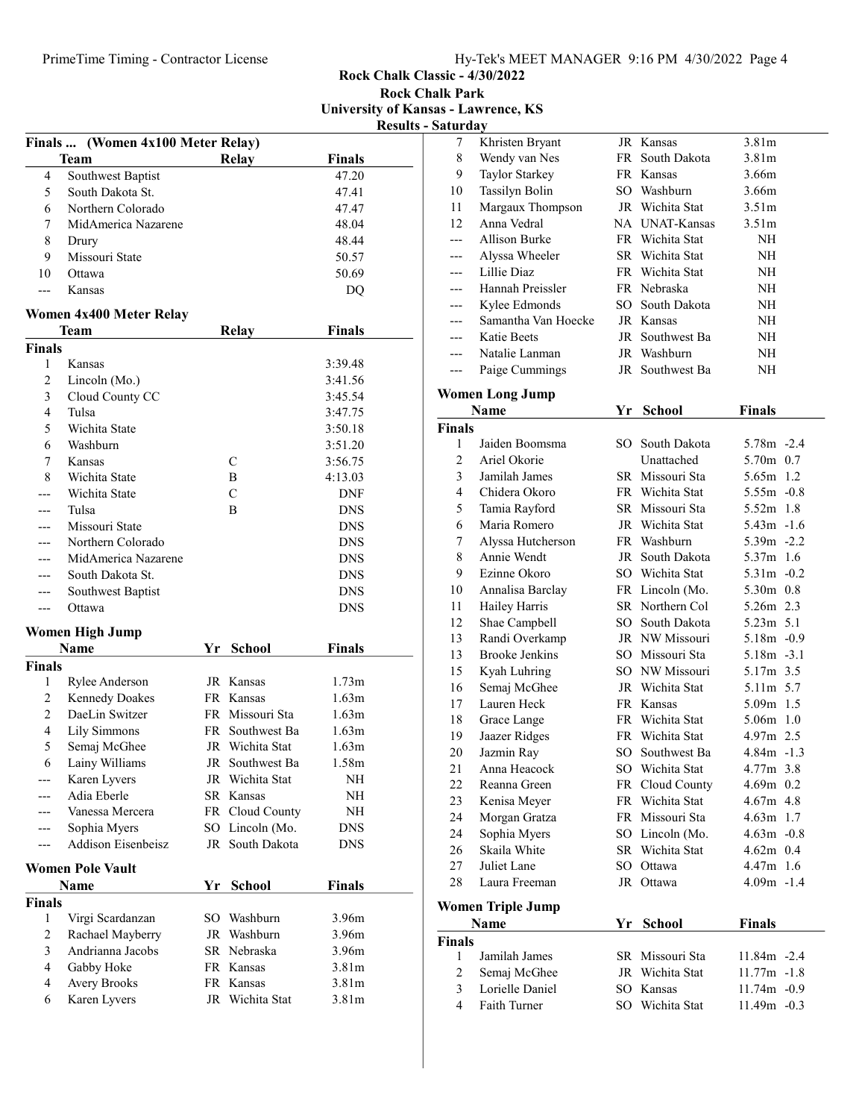Rock Chalk Classic - 4/30/2022 Rock Chalk Park

University of Kansas - Lawrence, KS

| <b>Results - Saturday</b> |
|---------------------------|
|                           |

|                | Finals  (Women 4x100 Meter Relay) |    |                 |                   |  |
|----------------|-----------------------------------|----|-----------------|-------------------|--|
|                | <b>Team</b>                       |    | Relay           | <b>Finals</b>     |  |
| 4              | Southwest Baptist                 |    |                 | 47.20             |  |
| 5              | South Dakota St.                  |    |                 | 47.41             |  |
| 6              | Northern Colorado                 |    |                 | 47.47             |  |
| 7              | MidAmerica Nazarene               |    |                 | 48.04             |  |
| 8              | Drury                             |    |                 | 48.44             |  |
| 9              | Missouri State                    |    |                 | 50.57             |  |
| 10             | Ottawa                            |    |                 | 50.69             |  |
| ---            | Kansas                            |    |                 | D <sub>O</sub>    |  |
|                |                                   |    |                 |                   |  |
|                | Women 4x400 Meter Relay           |    |                 |                   |  |
|                | Team                              |    | <b>Relay</b>    | <b>Finals</b>     |  |
| <b>Finals</b>  |                                   |    |                 |                   |  |
| 1<br>2         | Kansas                            |    |                 | 3:39.48           |  |
|                | Lincoln (Mo.)                     |    |                 | 3:41.56           |  |
| 3              | Cloud County CC                   |    |                 | 3:45.54           |  |
| $\overline{4}$ | Tulsa<br>Wichita State            |    |                 | 3:47.75           |  |
| 5<br>6         | Washburn                          |    |                 | 3:50.18           |  |
|                |                                   |    | C               | 3:51.20           |  |
| 7              | Kansas                            |    |                 | 3:56.75           |  |
| 8              | Wichita State                     |    | Β               | 4:13.03           |  |
|                | Wichita State                     |    | C               | DNF               |  |
| ---            | Tulsa                             |    | B               | DNS               |  |
|                | Missouri State                    |    |                 | <b>DNS</b>        |  |
|                | Northern Colorado                 |    |                 | DNS               |  |
|                | MidAmerica Nazarene               |    |                 | <b>DNS</b>        |  |
|                | South Dakota St.                  |    |                 | DNS               |  |
|                | Southwest Baptist                 |    |                 | DNS               |  |
| ---            | Ottawa                            |    |                 | DNS               |  |
|                | <b>Women High Jump</b>            |    |                 |                   |  |
|                | Name                              | Yr | <b>School</b>   | <b>Finals</b>     |  |
| <b>Finals</b>  |                                   |    |                 |                   |  |
| 1              | Rylee Anderson                    |    | JR Kansas       | 1.73m             |  |
| 2              | <b>Kennedy Doakes</b>             |    | FR Kansas       | 1.63m             |  |
| 2              | DaeLin Switzer                    |    | FR Missouri Sta | 1.63m             |  |
| 4              | Lily Simmons                      |    | FR Southwest Ba | 1.63m             |  |
| 5              | Semaj McGhee                      |    | JR Wichita Stat | 1.63m             |  |
| 6              | Lainy Williams                    |    | JR Southwest Ba | 1.58m             |  |
|                | Karen Lyvers                      | JR | Wichita Stat    | NH                |  |
|                | Adia Eberle                       | SR | Kansas          | NΗ                |  |
|                | Vanessa Mercera                   |    | FR Cloud County | NΗ                |  |
|                | Sophia Myers                      |    | SO Lincoln (Mo. | DNS               |  |
|                | Addison Eisenbeisz                |    | JR South Dakota | <b>DNS</b>        |  |
|                | <b>Women Pole Vault</b>           |    |                 |                   |  |
|                | Name                              | Yr | <b>School</b>   | Finals            |  |
| <b>Finals</b>  |                                   |    |                 |                   |  |
| $\mathbf{1}$   | Virgi Scardanzan                  | SO | Washburn        | 3.96m             |  |
| 2              | Rachael Mayberry                  | JR | Washburn        | 3.96m             |  |
| 3              | Andrianna Jacobs                  | SR | Nebraska        | 3.96m             |  |
| 4              | Gabby Hoke                        | FR | Kansas          | 3.81m             |  |
| 4              | Avery Brooks                      | FR | Kansas          | 3.81 <sub>m</sub> |  |
| 6              | Karen Lyvers                      | JR | Wichita Stat    | 3.81 <sub>m</sub> |  |
|                |                                   |    |                 |                   |  |

| 7              | Khristen Bryant          |    | JR Kansas       | 3.81 <sub>m</sub> |
|----------------|--------------------------|----|-----------------|-------------------|
| $\,$ $\,$      | Wendy van Nes            |    | FR South Dakota | 3.81 <sub>m</sub> |
| 9              | Taylor Starkey           |    | FR Kansas       | 3.66m             |
| 10             | Tassilyn Bolin           |    | SO Washburn     | 3.66m             |
| 11             | Margaux Thompson         |    | JR Wichita Stat | 3.51 <sub>m</sub> |
| 12             | Anna Vedral              |    | NA UNAT-Kansas  | 3.51 <sub>m</sub> |
| ---            | <b>Allison Burke</b>     |    | FR Wichita Stat | NH                |
| ---            | Alyssa Wheeler           |    | SR Wichita Stat | NH                |
| ---            | Lillie Diaz              |    | FR Wichita Stat | NH                |
| ---            | Hannah Preissler         |    | FR Nebraska     | NH                |
| ---            | Kylee Edmonds            |    | SO South Dakota | NΗ                |
| ---            | Samantha Van Hoecke      |    | JR Kansas       | NΗ                |
| ---            | Katie Beets              |    | JR Southwest Ba | NH                |
| $---$          | Natalie Lanman           |    | JR Washburn     | NH                |
| $---$          | Paige Cummings           |    | JR Southwest Ba | NΗ                |
|                |                          |    |                 |                   |
|                | <b>Women Long Jump</b>   |    |                 |                   |
|                | Name                     | Yr | <b>School</b>   | <b>Finals</b>     |
| <b>Finals</b>  |                          |    |                 |                   |
| 1              | Jaiden Boomsma           |    | SO South Dakota | 5.78m -2.4        |
| $\overline{2}$ | Ariel Okorie             |    | Unattached      | 5.70m 0.7         |
| 3              | Jamilah James            |    | SR Missouri Sta | $5.65m$ 1.2       |
| $\overline{4}$ | Chidera Okoro            |    | FR Wichita Stat | $5.55m - 0.8$     |
| 5              | Tamia Rayford            |    | SR Missouri Sta | 5.52m 1.8         |
| 6              | Maria Romero             |    | JR Wichita Stat | $5.43m - 1.6$     |
| 7              | Alyssa Hutcherson        |    | FR Washburn     | $5.39m -2.2$      |
| 8              | Annie Wendt              |    | JR South Dakota | 5.37m 1.6         |
| 9              | Ezinne Okoro             |    | SO Wichita Stat | $5.31m -0.2$      |
| 10             | Annalisa Barclay         |    | FR Lincoln (Mo. | 5.30m 0.8         |
| 11             | Hailey Harris            |    | SR Northern Col | 5.26m 2.3         |
| 12             | Shae Campbell            |    | SO South Dakota | 5.23m 5.1         |
| 13             | Randi Overkamp           |    | JR NW Missouri  | $5.18m - 0.9$     |
| 13             | <b>Brooke Jenkins</b>    |    | SO Missouri Sta | $5.18m - 3.1$     |
| 15             | Kyah Luhring             |    | SO NW Missouri  | 5.17m 3.5         |
| 16             | Semaj McGhee             |    | JR Wichita Stat | 5.11m 5.7         |
| 17             | Lauren Heck              |    | FR Kansas       | 5.09m 1.5         |
| 18             | Grace Lange              |    | FR Wichita Stat | 5.06m 1.0         |
| 19             | Jaazer Ridges            |    | FR Wichita Stat | 4.97m 2.5         |
| 20             | Jazmin Ray               |    | SO Southwest Ba | $4.84m - 1.3$     |
| 21             | Anna Heacock             |    | SO Wichita Stat | 4.77m 3.8         |
| 22             | Reanna Green             |    | FR Cloud County | 4.69m 0.2         |
| 23             | Kenisa Meyer             |    | FR Wichita Stat | 4.67m 4.8         |
| 24             | Morgan Gratza            |    | FR Missouri Sta | $4.63m$ 1.7       |
| 24             | Sophia Myers             |    | SO Lincoln (Mo. | $4.63m - 0.8$     |
| 26             | Skaila White             |    | SR Wichita Stat | $4.62m$ 0.4       |
| 27             | Juliet Lane              |    | SO Ottawa       | $4.47m$ 1.6       |
| 28             | Laura Freeman            |    | JR Ottawa       | $4.09m - 1.4$     |
|                | <b>Women Triple Jump</b> |    |                 |                   |
|                | Name                     | Yr | <b>School</b>   | <b>Finals</b>     |
| <b>Finals</b>  |                          |    |                 |                   |
| 1              | Jamilah James            |    | SR Missouri Sta | $11.84m - 2.4$    |
| $\overline{c}$ | Semaj McGhee             |    | JR Wichita Stat | $11.77m - 1.8$    |
| 3              | Lorielle Daniel          |    | SO Kansas       | 11.74m -0.9       |
| $\overline{4}$ | Faith Turner             |    | SO Wichita Stat | $11.49m -0.3$     |
|                |                          |    |                 |                   |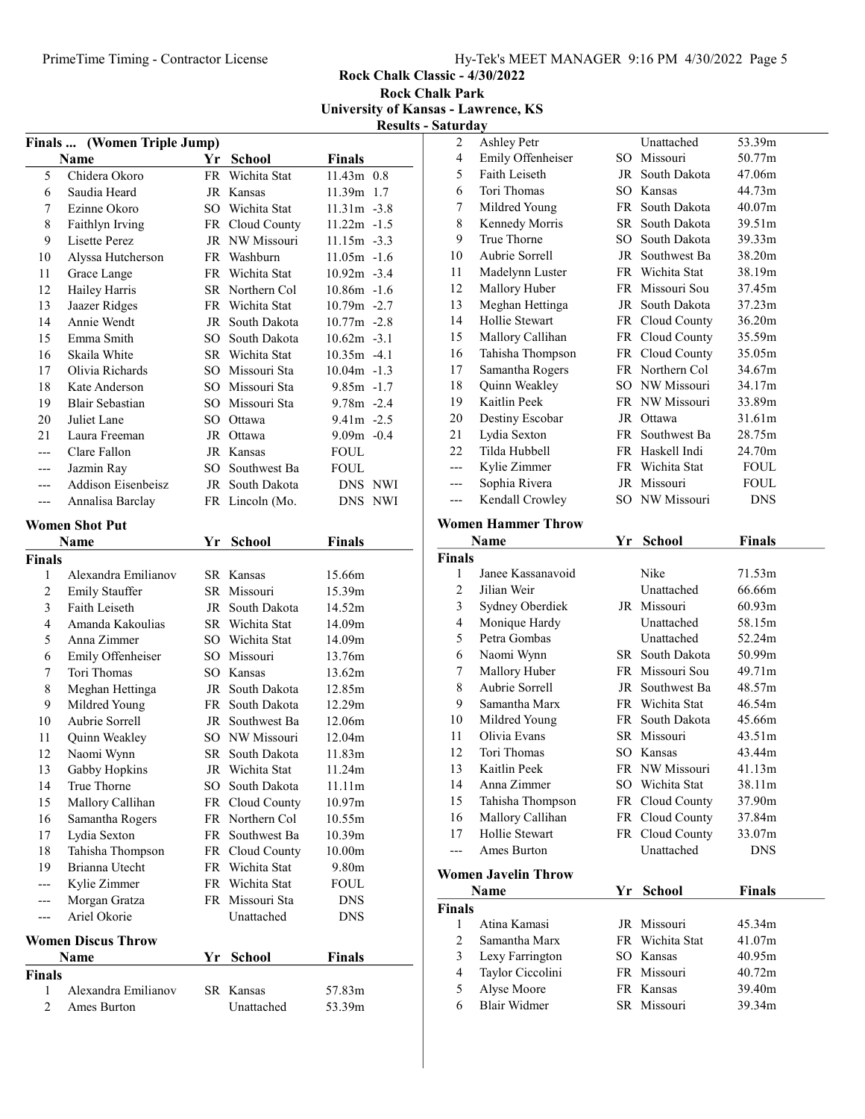Rock Chalk Classic - 4/30/2022 Rock Chalk Park

University of Kansas - Lawrence, KS Results - Saturday

|                |                               |    |                 |                          | <b>Resu</b> it: |
|----------------|-------------------------------|----|-----------------|--------------------------|-----------------|
|                | Finals  (Women Triple Jump)   |    |                 |                          |                 |
|                | Name                          |    | Yr School       | <b>Finals</b>            |                 |
| 5              | Chidera Okoro                 |    | FR Wichita Stat | $11.43m$ 0.8             |                 |
| 6              | Saudia Heard                  |    | JR Kansas       | 11.39m 1.7               |                 |
| 7              | Ezinne Okoro                  |    | SO Wichita Stat | $11.31m - 3.8$           |                 |
| 8              | Faithlyn Irving               |    | FR Cloud County | $11.22m - 1.5$           |                 |
| 9              | <b>Lisette Perez</b>          |    | JR NW Missouri  | $11.15m - 3.3$           |                 |
| 10             | Alyssa Hutcherson             |    | FR Washburn     | $11.05m - 1.6$           |                 |
| 11             | Grace Lange                   |    | FR Wichita Stat | $10.92m - 3.4$           |                 |
| 12             | Hailey Harris                 |    | SR Northern Col | $10.86m - 1.6$           |                 |
| 13             | Jaazer Ridges                 |    | FR Wichita Stat | $10.79m - 2.7$           |                 |
| 14             | Annie Wendt                   |    | JR South Dakota | $10.77m - 2.8$           |                 |
| 15             | Emma Smith                    |    | SO South Dakota | $10.62m -3.1$            |                 |
| 16             | Skaila White                  |    | SR Wichita Stat | $10.35m -4.1$            |                 |
| 17             | Olivia Richards               |    | SO Missouri Sta | $10.04m - 1.3$           |                 |
| 18             | Kate Anderson                 |    | SO Missouri Sta | $9.85m - 1.7$            |                 |
| 19             | <b>Blair Sebastian</b>        |    | SO Missouri Sta | $9.78m - 2.4$            |                 |
| 20             | Juliet Lane                   |    | SO Ottawa       | $9.41m - 2.5$            |                 |
| 21             | Laura Freeman                 |    | JR Ottawa       | $9.09m - 0.4$            |                 |
| ---            | Clare Fallon                  |    | JR Kansas       | <b>FOUL</b>              |                 |
| ---            | Jazmin Ray                    |    | SO Southwest Ba | <b>FOUL</b>              |                 |
| ---            | <b>Addison Eisenbeisz</b>     |    | JR South Dakota | DNS NWI                  |                 |
| ---            | Annalisa Barclay              |    | FR Lincoln (Mo. | DNS NWI                  |                 |
|                | <b>Women Shot Put</b>         |    |                 |                          |                 |
|                | Name                          |    | Yr School       | <b>Finals</b>            |                 |
| Finals         |                               |    |                 |                          |                 |
| 1              | Alexandra Emilianov           |    | SR Kansas       | 15.66m                   |                 |
| $\overline{2}$ | <b>Emily Stauffer</b>         |    | SR Missouri     | 15.39m                   |                 |
| 3              | Faith Leiseth                 |    | JR South Dakota | 14.52m                   |                 |
| 4              | Amanda Kakoulias              |    | SR Wichita Stat | 14.09m                   |                 |
| 5              | Anna Zimmer                   |    | SO Wichita Stat | 14.09m                   |                 |
| 6              | Emily Offenheiser             |    | SO Missouri     | 13.76m                   |                 |
| 7              | Tori Thomas                   |    | SO Kansas       | 13.62m                   |                 |
| 8              | Meghan Hettinga               |    | JR South Dakota | 12.85m                   |                 |
| 9              | Mildred Young                 |    | FR South Dakota | 12.29m                   |                 |
| 10             | Aubrie Sorrell                |    | JR Southwest Ba | 12.06m                   |                 |
| 11             | Quinn Weakley                 |    | SO NW Missouri  | 12.04m                   |                 |
| 12             | Naomi Wynn                    | SR | South Dakota    | 11.83m                   |                 |
| 13             | Gabby Hopkins                 |    | JR Wichita Stat | 11.24m                   |                 |
| 14             | True Thorne                   |    | SO South Dakota | 11.11m                   |                 |
| 15             | Mallory Callihan              |    | FR Cloud County | 10.97m                   |                 |
| 16             | Samantha Rogers               |    | FR Northern Col | 10.55m                   |                 |
| 17             | Lydia Sexton                  |    | FR Southwest Ba | 10.39m                   |                 |
| 18             | Tahisha Thompson              |    | FR Cloud County | 10.00m                   |                 |
| 19             | Brianna Utecht                |    | FR Wichita Stat | 9.80m                    |                 |
|                | Kylie Zimmer                  |    | FR Wichita Stat |                          |                 |
| ---            |                               |    | FR Missouri Sta | <b>FOUL</b>              |                 |
| ---            | Morgan Gratza<br>Ariel Okorie |    | Unattached      | <b>DNS</b><br><b>DNS</b> |                 |
| ---            |                               |    |                 |                          |                 |
|                | <b>Women Discus Throw</b>     |    |                 |                          |                 |
|                | Name                          | Yr | <b>School</b>   | <b>Finals</b>            |                 |
| Finals         |                               |    |                 |                          |                 |
| 1              | Alexandra Emilianov           |    | SR Kansas       | 57.83m                   |                 |
| $\overline{2}$ | Ames Burton                   |    | Unattached      | 53.39m                   |                 |
|                |                               |    |                 |                          |                 |

| 2                       | <b>Ashley Petr</b>               |    | Unattached      | 53.39m        |
|-------------------------|----------------------------------|----|-----------------|---------------|
| $\overline{\mathbf{4}}$ | Emily Offenheiser                |    | SO Missouri     | 50.77m        |
| 5                       | Faith Leiseth                    |    | JR South Dakota | 47.06m        |
| 6                       | Tori Thomas                      |    | SO Kansas       | 44.73m        |
| 7                       | Mildred Young                    |    | FR South Dakota | 40.07m        |
| $\,$ $\,$               | Kennedy Morris                   |    | SR South Dakota | 39.51m        |
| 9                       | True Thorne                      |    | SO South Dakota | 39.33m        |
| 10                      | Aubrie Sorrell                   |    | JR Southwest Ba | 38.20m        |
| 11                      | Madelynn Luster                  |    | FR Wichita Stat | 38.19m        |
| 12                      | Mallory Huber                    |    | FR Missouri Sou | 37.45m        |
| 13                      | Meghan Hettinga                  |    | JR South Dakota | 37.23m        |
| 14                      | Hollie Stewart                   |    | FR Cloud County | 36.20m        |
| 15                      | Mallory Callihan                 |    | FR Cloud County | 35.59m        |
| 16                      | Tahisha Thompson                 |    | FR Cloud County | 35.05m        |
| 17                      | Samantha Rogers                  |    | FR Northern Col | 34.67m        |
| 18                      | Quinn Weakley                    |    | SO NW Missouri  | 34.17m        |
| 19                      | Kaitlin Peek                     |    | FR NW Missouri  | 33.89m        |
| 20                      | Destiny Escobar                  |    | JR Ottawa       | 31.61m        |
| 21                      | Lydia Sexton                     |    | FR Southwest Ba | 28.75m        |
| 22                      | Tilda Hubbell                    |    | FR Haskell Indi | 24.70m        |
| ---                     | Kylie Zimmer                     |    | FR Wichita Stat | <b>FOUL</b>   |
| ---                     | Sophia Rivera                    |    | JR Missouri     | <b>FOUL</b>   |
| ---                     | Kendall Crowley                  |    | SO NW Missouri  | DNS           |
|                         |                                  |    |                 |               |
|                         | <b>Women Hammer Throw</b>        |    |                 |               |
|                         | <b>Name</b>                      | Yr |                 |               |
| <b>Finals</b>           |                                  |    | <b>School</b>   | <b>Finals</b> |
| 1                       | Janee Kassanavoid                |    | Nike            | 71.53m        |
| 2                       | Jilian Weir                      |    | Unattached      | 66.66m        |
| $\mathfrak{Z}$          |                                  |    | JR Missouri     | 60.93m        |
| $\overline{\mathbf{4}}$ | Sydney Oberdiek<br>Monique Hardy |    | Unattached      | 58.15m        |
| 5                       | Petra Gombas                     |    | Unattached      | 52.24m        |
| 6                       | Naomi Wynn                       |    | SR South Dakota | 50.99m        |
| 7                       | Mallory Huber                    |    | FR Missouri Sou | 49.71m        |
| 8                       | Aubrie Sorrell                   |    | JR Southwest Ba | 48.57m        |
| 9                       | Samantha Marx                    |    | FR Wichita Stat | 46.54m        |
| 10                      | Mildred Young                    |    | FR South Dakota | 45.66m        |
| 11                      | Olivia Evans                     |    | SR Missouri     | 43.51m        |
| 12                      | Tori Thomas                      |    | SO Kansas       | 43.44m        |
| 13                      | Kaitlin Peek                     |    | FR NW Missouri  | 41.13m        |
| 14                      | Anna Zimmer                      |    | SO Wichita Stat | 38.11m        |
| 15                      | Tahisha Thompson                 |    | FR Cloud County | 37.90m        |
| 16                      | Mallory Callihan                 |    | FR Cloud County | 37.84m        |
| 17                      | Hollie Stewart                   |    | FR Cloud County | 33.07m        |
| ---                     | Ames Burton                      |    | Unattached      | <b>DNS</b>    |
|                         | <b>Women Javelin Throw</b>       |    |                 |               |

|               | Name             | Yr School       | <b>Finals</b> |  |
|---------------|------------------|-----------------|---------------|--|
| Finals        |                  |                 |               |  |
|               | Atina Kamasi     | JR Missouri     | 45.34m        |  |
| $\mathcal{L}$ | Samantha Marx    | FR Wichita Stat | 41.07m        |  |
|               | Lexy Farrington  | SO Kansas       | 40.95m        |  |
| 4             | Taylor Ciccolini | FR Missouri     | 40.72m        |  |
|               | Alyse Moore      | FR Kansas       | 39.40m        |  |
|               | Blair Widmer     | SR Missouri     | 39.34m        |  |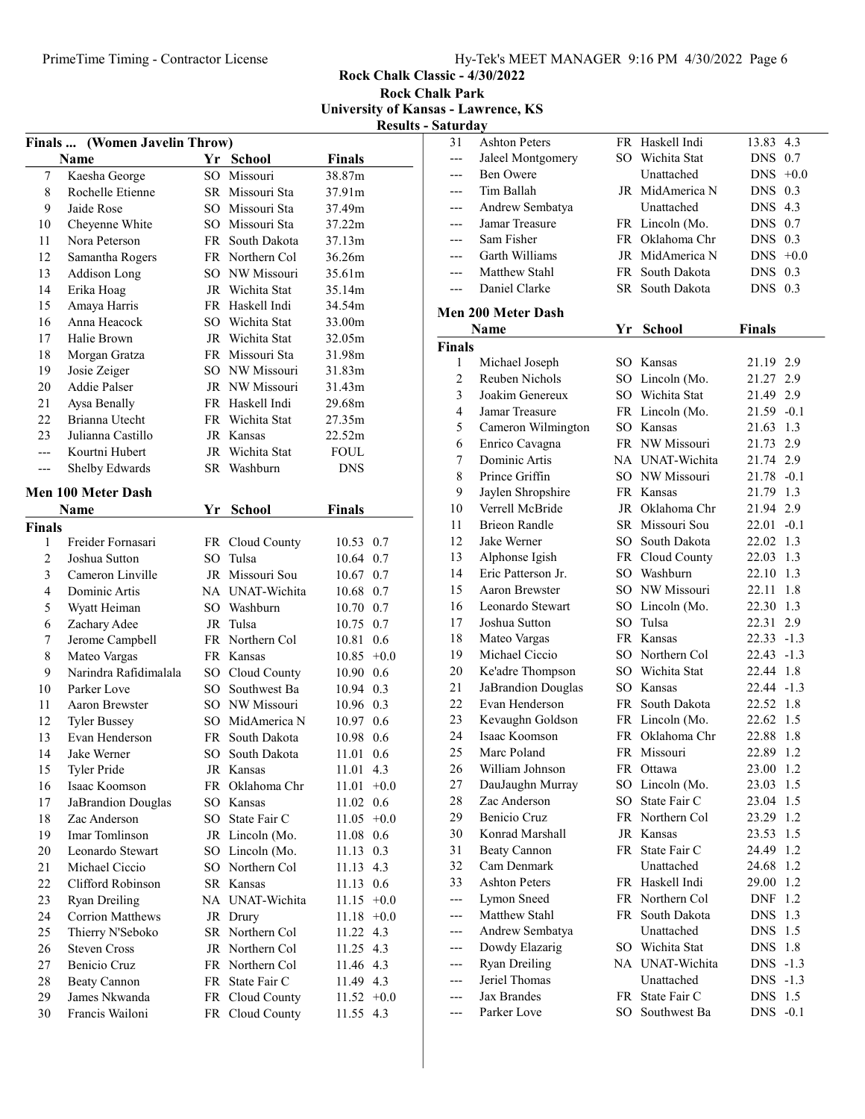Rock Chalk Classic - 4/30/2022 Rock Chalk Park

University of Kansas - Lawrence, KS

Results - Saturday

|                |                                         |    |                                    |                        | resuns |
|----------------|-----------------------------------------|----|------------------------------------|------------------------|--------|
|                | Finals  (Women Javelin Throw)           |    |                                    |                        |        |
|                | Name                                    |    | Yr School                          | <b>Finals</b>          |        |
| 7              | Kaesha George                           |    | SO Missouri                        | 38.87m                 |        |
| $\,$ 8 $\,$    | Rochelle Etienne                        |    | SR Missouri Sta                    | 37.91m                 |        |
| 9              | Jaide Rose                              |    | SO Missouri Sta                    | 37.49m                 |        |
| 10             | Cheyenne White                          |    | SO Missouri Sta                    | 37.22m                 |        |
| 11             | Nora Peterson                           |    | FR South Dakota                    | 37.13m                 |        |
| 12             | Samantha Rogers                         |    | FR Northern Col                    | 36.26m                 |        |
| 13             | Addison Long                            |    | SO NW Missouri                     | 35.61m                 |        |
| 14             | Erika Hoag                              |    | JR Wichita Stat                    | 35.14m                 |        |
| 15             | Amaya Harris                            |    | FR Haskell Indi                    | 34.54m                 |        |
| 16             | Anna Heacock                            |    | SO Wichita Stat                    | 33.00m                 |        |
| 17             | Halie Brown                             |    | JR Wichita Stat                    | 32.05m                 |        |
| 18             | Morgan Gratza                           |    | FR Missouri Sta                    | 31.98m                 |        |
| 19             | Josie Zeiger                            |    | SO NW Missouri                     | 31.83m                 |        |
| 20             | Addie Palser                            |    | JR NW Missouri                     | 31.43m                 |        |
| 21             | Aysa Benally                            |    | FR Haskell Indi                    | 29.68m                 |        |
| 22             | Brianna Utecht                          |    | FR Wichita Stat                    | 27.35m                 |        |
| 23             | Julianna Castillo                       |    | JR Kansas                          | 22.52m                 |        |
| ---            | Kourtni Hubert                          |    | JR Wichita Stat                    | <b>FOUL</b>            |        |
| ---            | Shelby Edwards                          |    | SR Washburn                        | <b>DNS</b>             |        |
|                | Men 100 Meter Dash                      |    |                                    |                        |        |
|                | Name                                    |    | Yr School                          | Finals                 |        |
| Finals         |                                         |    |                                    |                        |        |
| 1              | Freider Fornasari                       |    | FR Cloud County                    | 10.53 0.7              |        |
| $\mathfrak{2}$ | Joshua Sutton                           |    | SO Tulsa                           | 10.64 0.7              |        |
| 3              | Cameron Linville                        |    | JR Missouri Sou                    | 10.67 0.7              |        |
| $\overline{4}$ | Dominic Artis                           |    | NA UNAT-Wichita                    | 10.68 0.7              |        |
| 5              | Wyatt Heiman                            |    | SO Washburn                        | 10.70 0.7              |        |
| 6              | Zachary Adee                            |    | JR Tulsa                           | 10.75 0.7              |        |
| $\tau$         | Jerome Campbell                         |    | FR Northern Col                    | 10.81 0.6              |        |
| $\,$ 8 $\,$    | Mateo Vargas                            |    | FR Kansas                          | $10.85 + 0.0$          |        |
| 9              | Narindra Rafidimalala                   |    | SO Cloud County                    | 10.90 0.6              |        |
| 10             | Parker Love                             |    | SO Southwest Ba                    | 10.94 0.3              |        |
| 11             | Aaron Brewster                          |    | SO NW Missouri                     | 10.96 0.3              |        |
| 12             | <b>Tyler Bussey</b>                     |    | SO MidAmerica N                    | 10.97                  | 0.6    |
| 13             | Evan Henderson                          |    | FR South Dakota                    | 10.98                  | 0.6    |
| 14             | Jake Werner                             | SO | South Dakota                       | 11.01                  | 0.6    |
| 15             | <b>Tyler Pride</b>                      |    | JR Kansas                          | 11.01 4.3              |        |
| 16             | Isaac Koomson                           |    | FR Oklahoma Chr                    | 11.01                  | $+0.0$ |
| 17             | JaBrandion Douglas                      |    | SO Kansas                          | 11.02 0.6              |        |
| 18             | Zac Anderson                            |    | SO State Fair C                    | $11.05 +0.0$           |        |
| 19             | Imar Tomlinson                          |    | JR Lincoln (Mo.                    | 11.08                  | 0.6    |
| 20             | Leonardo Stewart                        |    | SO Lincoln (Mo.                    | 11.13                  | 0.3    |
| 21             | Michael Ciccio                          |    | SO Northern Col                    | 11.13                  | 4.3    |
| 22             | Clifford Robinson                       |    | SR Kansas                          | 11.13                  | 0.6    |
| 23             | <b>Ryan Dreiling</b>                    |    | NA UNAT-Wichita                    | $11.15 +0.0$           |        |
| 24             | <b>Corrion Matthews</b>                 |    | JR Drury                           | $11.18 + 0.0$          |        |
| 25             |                                         |    | SR Northern Col                    |                        |        |
| 26             | Thierry N'Seboko<br><b>Steven Cross</b> |    | JR Northern Col                    | 11.22 4.3<br>11.25 4.3 |        |
| 27             | Benicio Cruz                            |    |                                    |                        |        |
| 28             |                                         |    | FR Northern Col<br>FR State Fair C | 11.46 4.3              |        |
|                | Beaty Cannon                            |    |                                    | 11.49 4.3              |        |
| 29             | James Nkwanda                           |    | FR Cloud County                    | $11.52 +0.0$           |        |
| 30             | Francis Wailoni                         |    | FR Cloud County                    | 11.55 4.3              |        |

| Satul ua y     |                           |      |                 |               |        |
|----------------|---------------------------|------|-----------------|---------------|--------|
| 31             | <b>Ashton Peters</b>      |      | FR Haskell Indi | 13.83         | 4.3    |
| ---            | Jaleel Montgomery         |      | SO Wichita Stat | DNS           | 0.7    |
| ---            | Ben Owere                 |      | Unattached      | DNS           | $+0.0$ |
|                | Tim Ballah                |      | JR MidAmerica N | DNS           | 0.3    |
| ---            | Andrew Sembatya           |      | Unattached      | DNS           | 4.3    |
|                | Jamar Treasure            |      | FR Lincoln (Mo. | DNS           | 0.7    |
|                | Sam Fisher                |      | FR Oklahoma Chr | DNS           | 0.3    |
| ---            | Garth Williams            | JR   | MidAmerica N    | DNS           | $+0.0$ |
| ---            | Matthew Stahl             | FR - | South Dakota    | DNS           | 0.3    |
| ---            | Daniel Clarke             |      | SR South Dakota | DNS           | 0.3    |
|                | <b>Men 200 Meter Dash</b> |      |                 |               |        |
|                | Name                      | Yr   | <b>School</b>   | <b>Finals</b> |        |
| <b>Finals</b>  |                           |      |                 |               |        |
| 1              | Michael Joseph            |      | SO Kansas       | 21.19 2.9     |        |
| $\overline{c}$ | Reuben Nichols            |      | SO Lincoln (Mo. | 21.27 2.9     |        |
| 3              | Joakim Genereux           |      | SO Wichita Stat | 21.49 2.9     |        |
| 4              | Jamar Treasure            |      | FR Lincoln (Mo. | 21.59 -0.1    |        |
| 5              | Cameron Wilmington        |      | SO Kansas       | 21.63 1.3     |        |
| 6              | Enrico Cavagna            |      | FR NW Missouri  | 21.73         | 2.9    |
| 7              | Dominic Artis             |      | NA UNAT-Wichita | 21.74 2.9     |        |
| 8              | Prince Griffin            | SО   | NW Missouri     | 21.78 -0.1    |        |
| 9              | Jaylen Shropshire         |      | FR Kansas       | 21.79 1.3     |        |
| 10             | Verrell McBride           |      | JR Oklahoma Chr | 21.94 2.9     |        |
| 11             | <b>Brieon Randle</b>      |      | SR Missouri Sou | $22.01 - 0.1$ |        |
| 12             | Jake Werner               |      | SO South Dakota | 22.02         | 1.3    |
| 13             | Alphonse Igish            |      | FR Cloud County | 22.03         | 1.3    |
| 14             | Eric Patterson Jr.        |      | SO Washburn     | 22.10         | 1.3    |
| 15             | <b>Aaron Brewster</b>     |      | SO NW Missouri  | 22.11         | 1.8    |
| 16             | Leonardo Stewart          |      | SO Lincoln (Mo. | 22.30         | 1.3    |
| 17             | Joshua Sutton             |      | SO Tulsa        | 22.31         | 2.9    |
| 18             | Mateo Vargas              |      | FR Kansas       | $22.33 - 1.3$ |        |
| 19             | Michael Ciccio            |      | SO Northern Col | 22.43 -1.3    |        |
| 20             | Ke'adre Thompson          |      | SO Wichita Stat | 22.44 1.8     |        |
| 21             | JaBrandion Douglas        |      | SO Kansas       | $22.44 - 1.3$ |        |
| 22             | Evan Henderson            |      | FR South Dakota | 22.52 1.8     |        |
| 23             | Kevaughn Goldson          |      | FR Lincoln (Mo. | 22.62 1.5     |        |
| 24             | Isaac Koomson             |      | FR Oklahoma Chr | 22.88         | 1.8    |
| 25             | Marc Poland               |      | FR Missouri     | 22.89         | 1.2    |
| 26             | William Johnson           |      | FR Ottawa       | 23.00         | 1.2    |
| 27             | DauJaughn Murray          | SO   | Lincoln (Mo.    | 23.03         | 1.5    |
| 28             | Zac Anderson              | SO.  | State Fair C    | 23.04         | 1.5    |
| 29             | Benicio Cruz              |      | FR Northern Col | 23.29         | 1.2    |
| 30             | Konrad Marshall           |      | JR Kansas       | 23.53         | 1.5    |
| 31             | <b>Beaty Cannon</b>       |      | FR State Fair C | 24.49         | 1.2    |
| 32             | Cam Denmark               |      | Unattached      | 24.68         | 1.2    |
| 33             | <b>Ashton Peters</b>      |      | FR Haskell Indi | 29.00         | 1.2    |
| ---            | Lymon Sneed               |      | FR Northern Col | DNF           | 1.2    |
| ---            | Matthew Stahl             |      | FR South Dakota | <b>DNS</b>    | 1.3    |
| ---            | Andrew Sembatya           |      | Unattached      | <b>DNS</b>    | 1.5    |
|                | Dowdy Elazarig            |      | SO Wichita Stat | <b>DNS</b>    | 1.8    |
|                | <b>Ryan Dreiling</b>      |      | NA UNAT-Wichita | DNS.          | $-1.3$ |
|                | Jeriel Thomas             |      | Unattached      | DNS.          | $-1.3$ |
|                | Jax Brandes               |      | FR State Fair C | <b>DNS</b>    | 1.5    |
| ---            | Parker Love               | SO.  | Southwest Ba    | DNS           | $-0.1$ |
|                |                           |      |                 |               |        |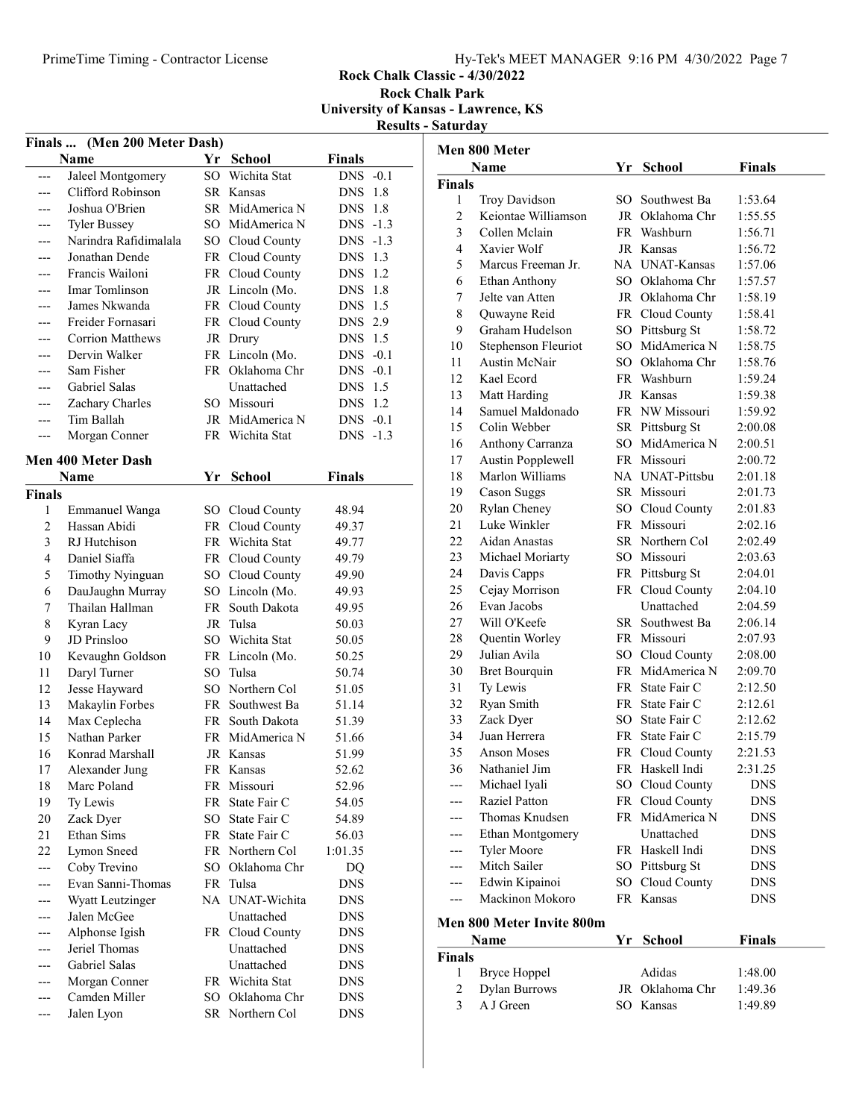## PrimeTime Timing - Contractor License Hy-Tek's MEET MANAGER 9:16 PM 4/30/2022 Page 7

### Rock Chalk Classic - 4/30/2022

Rock Chalk Park University of Kansas - Lawrence, KS Results - Saturday

| Finals  (Men 200 Meter Dash) |                                   |     |                                    |                          |  |  |
|------------------------------|-----------------------------------|-----|------------------------------------|--------------------------|--|--|
|                              | Name                              | Yr  | <b>School</b>                      | <b>Finals</b>            |  |  |
|                              | Jaleel Montgomery                 | SO  | Wichita Stat                       | $DNS -0.1$               |  |  |
|                              | Clifford Robinson                 | SR  | Kansas                             | 1.8<br><b>DNS</b>        |  |  |
|                              | Joshua O'Brien                    |     | SR MidAmerica N                    | <b>DNS</b><br>1.8        |  |  |
| ---                          | <b>Tyler Bussey</b>               |     | SO MidAmerica N                    | DNS -1.3                 |  |  |
| ---                          | Narindra Rafidimalala             |     | SO Cloud County                    | $-1.3$<br>DNS            |  |  |
| ---                          | Jonathan Dende                    |     | FR Cloud County                    | DNS<br>1.3               |  |  |
| ---                          | Francis Wailoni                   |     | FR Cloud County                    | 1.2<br>DNS               |  |  |
| ---                          | Imar Tomlinson                    |     | JR Lincoln (Mo.                    | <b>DNS</b><br>1.8        |  |  |
|                              | James Nkwanda                     |     | FR Cloud County                    | 1.5<br>DNS               |  |  |
| ---                          | Freider Fornasari                 |     | FR Cloud County                    | DNS 2.9                  |  |  |
|                              | <b>Corrion Matthews</b>           |     | JR Drury                           | DNS 1.5                  |  |  |
| ---                          | Dervin Walker                     | FR  | Lincoln (Mo.                       | DNS -0.1                 |  |  |
| ---                          | Sam Fisher                        |     | FR Oklahoma Chr                    | $DNS -0.1$               |  |  |
| ---                          | <b>Gabriel Salas</b>              |     | Unattached                         | DNS 1.5                  |  |  |
| ---                          | Zachary Charles                   |     | SO Missouri                        | DNS 1.2                  |  |  |
| ---                          | Tim Ballah                        |     | JR MidAmerica N                    | $DNS -0.1$               |  |  |
| ---                          | Morgan Conner                     | FR  | Wichita Stat                       | DNS -1.3                 |  |  |
|                              | Men 400 Meter Dash                |     |                                    |                          |  |  |
|                              | Name                              | Yr  | <b>School</b>                      | <b>Finals</b>            |  |  |
| <b>Finals</b>                |                                   |     |                                    |                          |  |  |
| 1                            | <b>Emmanuel Wanga</b>             |     | SO Cloud County                    | 48.94                    |  |  |
| $\overline{c}$               | Hassan Abidi                      |     | FR Cloud County                    | 49.37                    |  |  |
| 3                            | RJ Hutchison                      |     | FR Wichita Stat                    | 49.77                    |  |  |
| $\overline{4}$               | Daniel Siaffa                     |     | FR Cloud County                    | 49.79                    |  |  |
| 5                            | Timothy Nyinguan                  |     | SO Cloud County                    | 49.90                    |  |  |
| 6                            | DauJaughn Murray                  |     | SO Lincoln (Mo.                    | 49.93                    |  |  |
| 7                            | Thailan Hallman                   |     | FR South Dakota                    | 49.95                    |  |  |
| 8                            | Kyran Lacy                        |     | JR Tulsa                           | 50.03                    |  |  |
| 9                            | JD Prinsloo                       | SO. | Wichita Stat                       | 50.05                    |  |  |
| 10                           | Kevaughn Goldson                  | FR  | Lincoln (Mo.                       | 50.25                    |  |  |
| 11                           | Daryl Turner                      | SO. | Tulsa                              | 50.74                    |  |  |
| 12                           | Jesse Hayward                     | SО  | Northern Col                       | 51.05                    |  |  |
| 13                           | Makaylin Forbes                   |     | FR Southwest Ba                    | 51.14                    |  |  |
| 14                           | Max Ceplecha                      | FR  | South Dakota                       | 51.39                    |  |  |
| 15                           | Nathan Parker                     | FR  | MidAmerica N                       | 51.66                    |  |  |
| 16                           | Konrad Marshall                   |     | JR Kansas                          | 51.99                    |  |  |
| $17\,$                       | Alexander Jung                    |     | FR Kansas                          | 52.62                    |  |  |
| 18                           | Marc Poland                       |     | FR Missouri                        | 52.96                    |  |  |
| 19                           | Ty Lewis                          |     | FR State Fair C                    | 54.05                    |  |  |
| 20                           | Zack Dyer                         |     | SO State Fair C                    | 54.89                    |  |  |
| 21                           | Ethan Sims                        |     | FR State Fair C                    | 56.03                    |  |  |
| 22                           | Lymon Sneed                       |     | FR Northern Col<br>SO Oklahoma Chr | 1:01.35                  |  |  |
| ---                          | Coby Trevino<br>Evan Sanni-Thomas |     | FR Tulsa                           | DQ                       |  |  |
| <br>                         | Wyatt Leutzinger                  |     | NA UNAT-Wichita                    | <b>DNS</b><br><b>DNS</b> |  |  |
|                              | Jalen McGee                       |     | Unattached                         | <b>DNS</b>               |  |  |
| --                           | Alphonse Igish                    |     | FR Cloud County                    | <b>DNS</b>               |  |  |
|                              | Jeriel Thomas                     |     | Unattached                         | <b>DNS</b>               |  |  |
|                              | Gabriel Salas                     |     | Unattached                         | <b>DNS</b>               |  |  |
|                              | Morgan Conner                     |     | FR Wichita Stat                    | <b>DNS</b>               |  |  |
|                              | Camden Miller                     |     | SO Oklahoma Chr                    | <b>DNS</b>               |  |  |
| ---                          | Jalen Lyon                        | SR  | Northern Col                       | <b>DNS</b>               |  |  |

|                | Men 800 Meter                    |     |                 |               |
|----------------|----------------------------------|-----|-----------------|---------------|
|                | Name                             | Yr  | School          | <b>Finals</b> |
| <b>Finals</b>  |                                  |     |                 |               |
| 1              | Troy Davidson                    | SO. | Southwest Ba    | 1:53.64       |
| $\overline{c}$ | Keiontae Williamson              |     | JR Oklahoma Chr | 1:55.55       |
| 3              | Collen Mclain                    |     | FR Washburn     | 1:56.71       |
| 4              | Xavier Wolf                      |     | JR Kansas       | 1:56.72       |
| 5              | Marcus Freeman Jr.               |     | NA UNAT-Kansas  | 1:57.06       |
| 6              | Ethan Anthony                    |     | SO Oklahoma Chr | 1:57.57       |
| 7              | Jelte van Atten                  |     | JR Oklahoma Chr | 1:58.19       |
| 8              | Quwayne Reid                     |     | FR Cloud County | 1:58.41       |
| 9              | Graham Hudelson                  |     | SO Pittsburg St | 1:58.72       |
| 10             | Stephenson Fleuriot              |     | SO MidAmerica N | 1:58.75       |
| 11             | Austin McNair                    |     | SO Oklahoma Chr | 1:58.76       |
| 12             | Kael Ecord                       |     | FR Washburn     | 1:59.24       |
| 13             | Matt Harding                     |     | JR Kansas       | 1:59.38       |
| 14             | Samuel Maldonado                 |     | FR NW Missouri  | 1:59.92       |
| 15             | Colin Webber                     |     | SR Pittsburg St | 2:00.08       |
| 16             | Anthony Carranza                 | SO. | MidAmerica N    | 2:00.51       |
| 17             | <b>Austin Popplewell</b>         |     | FR Missouri     | 2:00.72       |
| 18             | Marlon Williams                  |     | NA UNAT-Pittsbu | 2:01.18       |
| 19             | <b>Cason Suggs</b>               |     | SR Missouri     | 2:01.73       |
| 20             | Rylan Cheney                     |     | SO Cloud County | 2:01.83       |
| 21             | Luke Winkler                     |     | FR Missouri     | 2:02.16       |
| 22             | Aidan Anastas                    |     | SR Northern Col | 2:02.49       |
| 23             | Michael Moriarty                 |     | SO Missouri     | 2:03.63       |
| 24             | Davis Capps                      |     | FR Pittsburg St | 2:04.01       |
| 25             | Cejay Morrison                   |     | FR Cloud County | 2:04.10       |
| 26             | Evan Jacobs                      |     | Unattached      | 2:04.59       |
| 27             | Will O'Keefe                     |     | SR Southwest Ba | 2:06.14       |
| 28             | Quentin Worley                   |     | FR Missouri     | 2:07.93       |
| 29             | Julian Avila                     |     | SO Cloud County | 2:08.00       |
| 30             | <b>Bret Bourquin</b>             |     | FR MidAmerica N | 2:09.70       |
| 31             | Ty Lewis                         |     | FR State Fair C | 2:12.50       |
| 32             | Ryan Smith                       |     | FR State Fair C | 2:12.61       |
| 33             | Zack Dyer                        |     | SO State Fair C | 2:12.62       |
| 34             | Juan Herrera                     |     | FR State Fair C | 2:15.79       |
| 35             | Anson Moses                      | FR  | Cloud County    | 2:21.53       |
| 36             | Nathaniel Jim                    |     | FR Haskell Indi | 2:31.25       |
| ---            | Michael Iyali                    |     | SO Cloud County | <b>DNS</b>    |
| ---            | <b>Raziel Patton</b>             |     | FR Cloud County | DNS           |
|                | Thomas Knudsen                   |     | FR MidAmerica N | <b>DNS</b>    |
|                | Ethan Montgomery                 |     | Unattached      | <b>DNS</b>    |
| ---            | <b>Tyler Moore</b>               |     | FR Haskell Indi | <b>DNS</b>    |
| ---            | Mitch Sailer                     |     | SO Pittsburg St | DNS           |
| ---            | Edwin Kipainoi                   |     | SO Cloud County | DNS           |
| ---            | Mackinon Mokoro                  |     | FR Kansas       | DNS           |
|                |                                  |     |                 |               |
|                | <b>Men 800 Meter Invite 800m</b> |     |                 |               |
|                | Name                             | Yr  | School          | <b>Finals</b> |
| <b>Finals</b>  |                                  |     |                 |               |
| 1              | Bryce Hoppel                     |     | Adidas          | 1:48.00       |
| 2              | <b>Dylan Burrows</b>             |     | JR Oklahoma Chr | 1:49.36       |
| 3              | A J Green                        |     | SO Kansas       | 1:49.89       |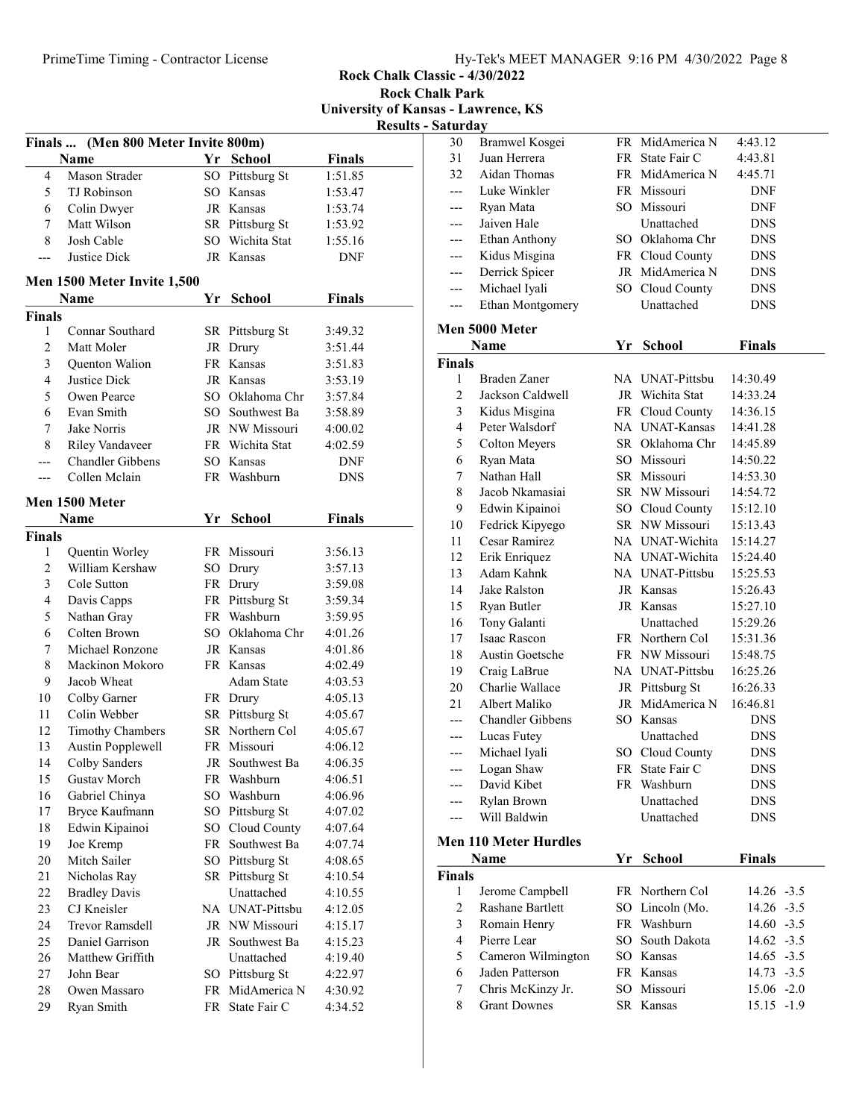Rock Chalk Classic - 4/30/2022

Rock Chalk Park University of Kansas - Lawrence, KS

|  | Results - Saturdav |
|--|--------------------|
|  |                    |

|               |                                      |    |                 |               | result |
|---------------|--------------------------------------|----|-----------------|---------------|--------|
|               | Finals  (Men 800 Meter Invite 800m)  |    |                 |               |        |
|               | Name                                 |    | Yr School       | <b>Finals</b> |        |
| 4             | Mason Strader                        |    | SO Pittsburg St | 1:51.85       |        |
| 5             | TJ Robinson                          |    | SO Kansas       | 1:53.47       |        |
| 6             | Colin Dwyer                          |    | JR Kansas       | 1:53.74       |        |
| 7             | Matt Wilson                          |    | SR Pittsburg St | 1:53.92       |        |
| 8             | Josh Cable                           |    | SO Wichita Stat | 1:55.16       |        |
| ---           | Justice Dick                         |    | JR Kansas       | <b>DNF</b>    |        |
|               | Men 1500 Meter Invite 1,500          |    |                 |               |        |
|               | Name                                 |    | Yr School       | <b>Finals</b> |        |
| <b>Finals</b> |                                      |    |                 |               |        |
| 1             | Connar Southard                      |    | SR Pittsburg St | 3:49.32       |        |
| 2             | Matt Moler                           |    | JR Drury        | 3:51.44       |        |
| 3             | Quenton Walion                       |    | FR Kansas       | 3:51.83       |        |
| 4             | Justice Dick                         |    | JR Kansas       | 3:53.19       |        |
| 5             | Owen Pearce                          |    | SO Oklahoma Chr | 3:57.84       |        |
| 6             | Evan Smith                           |    | SO Southwest Ba | 3:58.89       |        |
| 7             | Jake Norris                          |    | JR NW Missouri  | 4:00.02       |        |
| 8             | Riley Vandaveer                      |    | FR Wichita Stat |               |        |
|               | <b>Chandler Gibbens</b>              |    |                 | 4:02.59       |        |
| ---           | Collen Mclain                        |    | SO Kansas       | DNF           |        |
| ---           |                                      |    | FR Washburn     | <b>DNS</b>    |        |
|               | Men 1500 Meter                       |    |                 |               |        |
|               | Name                                 |    | Yr School       | <b>Finals</b> |        |
| <b>Finals</b> |                                      |    |                 |               |        |
| 1             | Quentin Worley                       |    | FR Missouri     | 3:56.13       |        |
| 2             | William Kershaw                      |    | SO Drury        | 3:57.13       |        |
| 3             | Cole Sutton                          |    | FR Drury        | 3:59.08       |        |
| 4             | Davis Capps                          |    | FR Pittsburg St | 3:59.34       |        |
| 5             | Nathan Gray                          |    | FR Washburn     | 3:59.95       |        |
| 6             | Colten Brown                         |    | SO Oklahoma Chr | 4:01.26       |        |
| 7             | Michael Ronzone                      |    | JR Kansas       | 4:01.86       |        |
| 8             | Mackinon Mokoro                      |    | FR Kansas       | 4:02.49       |        |
| 9             | Jacob Wheat                          |    | Adam State      | 4:03.53       |        |
| 10            | Colby Garner                         |    | FR Drury        | 4:05.13       |        |
| 11            | Colin Webber                         |    | SR Pittsburg St | 4:05.67       |        |
| 12            | <b>Timothy Chambers</b>              |    | SR Northern Col | 4:05.67       |        |
| 13            | <b>Austin Popplewell</b>             |    | FR Missouri     | 4:06.12       |        |
| 14            | Colby Sanders                        |    | JR Southwest Ba | 4:06.35       |        |
| 15            | Gustav Morch                         |    | FR Washburn     | 4:06.51       |        |
| 16            | Gabriel Chinya                       |    | SO Washburn     | 4:06.96       |        |
| 17            | Bryce Kaufmann                       |    | SO Pittsburg St | 4:07.02       |        |
| 18            | Edwin Kipainoi                       |    | SO Cloud County | 4:07.64       |        |
| 19            | Joe Kremp                            | FR | Southwest Ba    | 4:07.74       |        |
| 20            | Mitch Sailer                         |    | SO Pittsburg St | 4:08.65       |        |
| 21            |                                      |    | SR Pittsburg St | 4:10.54       |        |
| 22            | Nicholas Ray<br><b>Bradley Davis</b> |    | Unattached      | 4:10.55       |        |
| 23            | CJ Kneisler                          |    | NA UNAT-Pittsbu | 4:12.05       |        |
|               |                                      |    |                 |               |        |
| 24            | Trevor Ramsdell                      |    | JR NW Missouri  | 4:15.17       |        |
| 25            | Daniel Garrison                      | JR | Southwest Ba    | 4:15.23       |        |
| 26            | Matthew Griffith                     |    | Unattached      | 4:19.40       |        |
| 27            | John Bear                            |    | SO Pittsburg St | 4:22.97       |        |
| 28            | Owen Massaro                         |    | FR MidAmerica N | 4:30.92       |        |
| 29            | Ryan Smith                           |    | FR State Fair C | 4:34.52       |        |

| Saturday       |                                     |    |                                |               |
|----------------|-------------------------------------|----|--------------------------------|---------------|
| 30             | Bramwel Kosgei                      |    | FR MidAmerica N                | 4:43.12       |
| 31             | Juan Herrera                        |    | FR State Fair C                | 4:43.81       |
| 32             | Aidan Thomas                        |    | FR MidAmerica N                | 4:45.71       |
| ---            | Luke Winkler                        |    | FR Missouri                    | DNF           |
| ---            | Ryan Mata                           |    | SO Missouri                    | DNF           |
| ---            | Jaiven Hale                         |    | Unattached                     | <b>DNS</b>    |
| ---            | Ethan Anthony                       |    | SO Oklahoma Chr                | <b>DNS</b>    |
| ---            | Kidus Misgina                       |    | FR Cloud County                | <b>DNS</b>    |
| ---            | Derrick Spicer                      |    | JR MidAmerica N                | <b>DNS</b>    |
| ---            | Michael Iyali                       |    | SO Cloud County                | <b>DNS</b>    |
| ---            | Ethan Montgomery                    |    | Unattached                     | DNS           |
|                | Men 5000 Meter                      |    |                                |               |
|                |                                     |    |                                |               |
|                | Name                                | Yr | <b>School</b>                  | <b>Finals</b> |
| <b>Finals</b>  |                                     |    |                                |               |
| 1              | Braden Zaner                        |    | NA UNAT-Pittsbu                | 14:30.49      |
| $\mathfrak{2}$ | Jackson Caldwell                    |    | JR Wichita Stat                | 14:33.24      |
| 3              | Kidus Misgina                       |    | FR Cloud County                | 14:36.15      |
| $\overline{4}$ | Peter Walsdorf                      |    | NA UNAT-Kansas                 | 14:41.28      |
| 5              | Colton Meyers                       |    | SR Oklahoma Chr                | 14:45.89      |
| 6              | Ryan Mata                           |    | SO Missouri                    | 14:50.22      |
| 7              | Nathan Hall                         |    | SR Missouri                    | 14:53.30      |
| 8              | Jacob Nkamasiai                     |    | SR NW Missouri                 | 14:54.72      |
| 9              | Edwin Kipainoi                      |    | SO Cloud County                | 15:12.10      |
| 10             | Fedrick Kipyego                     |    | SR NW Missouri                 | 15:13.43      |
| 11             | Cesar Ramirez                       |    | NA UNAT-Wichita                | 15:14.27      |
| 12             | Erik Enriquez                       |    | NA UNAT-Wichita                | 15:24.40      |
| 13             | Adam Kahnk                          |    | NA UNAT-Pittsbu                | 15:25.53      |
| 14             | Jake Ralston                        |    | JR Kansas                      | 15:26.43      |
| 15             | Ryan Butler                         |    | JR Kansas                      | 15:27.10      |
| 16             | Tony Galanti                        |    | Unattached                     | 15:29.26      |
| 17             | Isaac Rascon                        |    | FR Northern Col                | 15:31.36      |
| 18             | <b>Austin Goetsche</b>              |    | FR NW Missouri                 | 15:48.75      |
| 19             | Craig LaBrue                        |    | NA UNAT-Pittsbu                | 16:25.26      |
| 20             | Charlie Wallace                     |    | JR Pittsburg St                | 16:26.33      |
| 21             | Albert Maliko                       |    | JR MidAmerica N                | 16:46.81      |
| $---$          | Chandler Gibbens                    |    | SO Kansas                      | <b>DNS</b>    |
| ---            | Lucas Futey                         |    | Unattached                     | <b>DNS</b>    |
| ---            | Michael Iyali                       |    | SO Cloud County                | <b>DNS</b>    |
| ---            | Logan Shaw                          |    | FR State Fair C                | <b>DNS</b>    |
|                | David Kibet                         |    | FR Washburn                    | <b>DNS</b>    |
|                | Rylan Brown                         |    | Unattached                     | DNS           |
| ---            | Will Baldwin                        |    | Unattached                     | <b>DNS</b>    |
|                | <b>Men 110 Meter Hurdles</b>        |    |                                |               |
|                | Name                                | Yr | <b>School</b>                  | <b>Finals</b> |
| <b>Finals</b>  |                                     |    |                                |               |
| 1              |                                     |    | FR Northern Col                | $14.26 - 3.5$ |
| $\overline{c}$ | Jerome Campbell<br>Rashane Bartlett |    |                                |               |
| 3              | Romain Henry                        |    | SO Lincoln (Mo.<br>FR Washburn | $14.26 - 3.5$ |
| $\overline{4}$ |                                     |    | SO South Dakota                | $14.60 - 3.5$ |
|                | Pierre Lear                         |    | SO Kansas                      | $14.62 - 3.5$ |
| 5              | Cameron Wilmington                  |    |                                | $14.65 - 3.5$ |
| 6              | Jaden Patterson                     |    | FR Kansas                      | 14.73 -3.5    |
| 7<br>8         | Chris McKinzy Jr.                   |    | SO Missouri                    | 15.06 -2.0    |
|                | <b>Grant Downes</b>                 |    | SR Kansas                      | 15.15 -1.9    |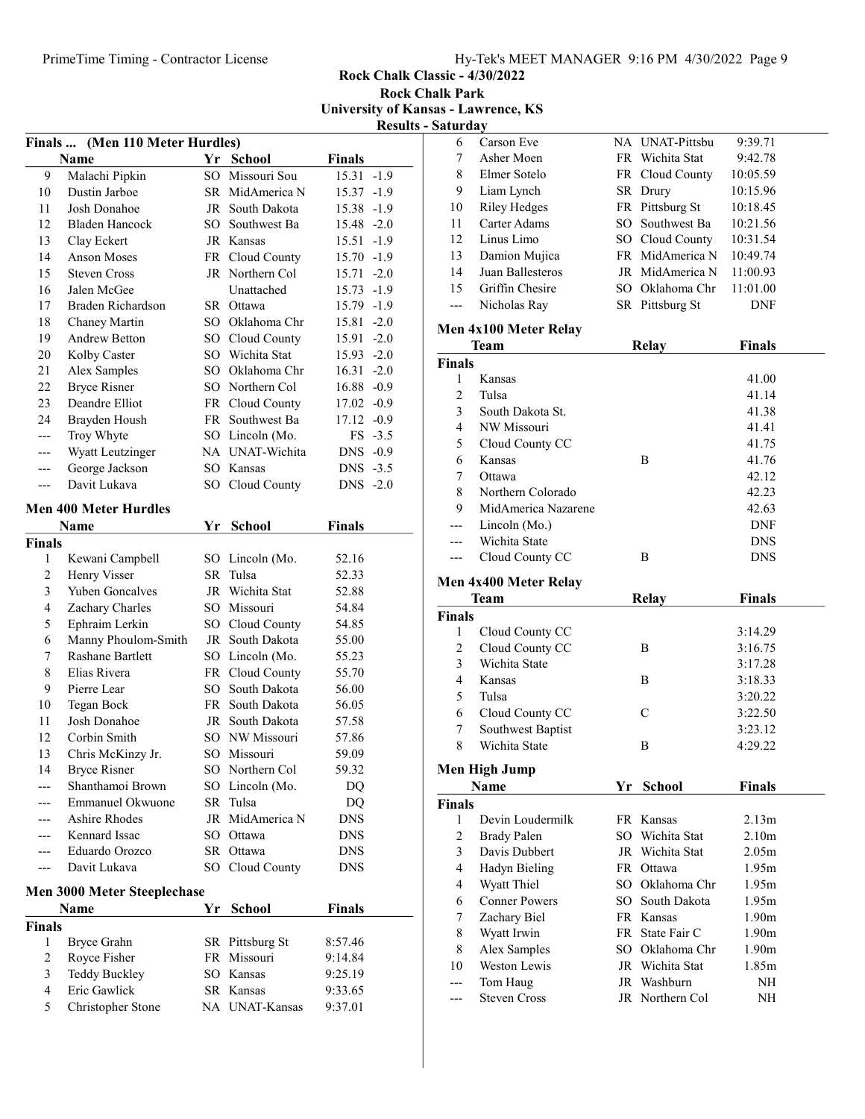Rock Chalk Classic - 4/30/2022 Rock Chalk Park

University of Kansas - Lawrence, KS Results - Saturday

|                |                                 |        |                 |               | resun     |
|----------------|---------------------------------|--------|-----------------|---------------|-----------|
|                | Finals  (Men 110 Meter Hurdles) |        |                 |               |           |
|                | Name                            |        | Yr School       | <b>Finals</b> |           |
| 9              | Malachi Pipkin                  |        | SO Missouri Sou | 15.31         | $-1.9$    |
| 10             | Dustin Jarboe                   |        | SR MidAmerica N | 15.37 -1.9    |           |
| 11             | Josh Donahoe                    |        | JR South Dakota | 15.38 -1.9    |           |
| 12             | Bladen Hancock                  |        | SO Southwest Ba | 15.48 -2.0    |           |
| 13             | Clay Eckert                     |        | JR Kansas       | $15.51 - 1.9$ |           |
| 14             | <b>Anson Moses</b>              |        | FR Cloud County | $15.70 -1.9$  |           |
| 15             | <b>Steven Cross</b>             |        | JR Northern Col | 15.71 -2.0    |           |
| 16             | Jalen McGee                     |        | Unattached      | 15.73         | $-1.9$    |
| 17             | Braden Richardson               |        | SR Ottawa       | 15.79 -1.9    |           |
| 18             | Chaney Martin                   |        | SO Oklahoma Chr | 15.81 -2.0    |           |
| 19             | Andrew Betton                   |        | SO Cloud County | 15.91 -2.0    |           |
| 20             | Kolby Caster                    |        | SO Wichita Stat | $15.93 - 2.0$ |           |
| 21             | Alex Samples                    |        | SO Oklahoma Chr | $16.31 - 2.0$ |           |
| 22             | <b>Bryce Risner</b>             |        | SO Northern Col | $16.88 - 0.9$ |           |
| 23             | Deandre Elliot                  |        | FR Cloud County | $17.02 -0.9$  |           |
| 24             | Brayden Housh                   |        | FR Southwest Ba | 17.12 -0.9    |           |
| ---            | Troy Whyte                      |        | SO Lincoln (Mo. |               | $FS -3.5$ |
| ---            | Wyatt Leutzinger                |        | NA UNAT-Wichita | DNS -0.9      |           |
| ---            | George Jackson                  |        | SO Kansas       | DNS -3.5      |           |
| ---            | Davit Lukava                    | $SO^-$ | Cloud County    | DNS -2.0      |           |
|                | <b>Men 400 Meter Hurdles</b>    |        |                 |               |           |
|                |                                 |        |                 |               |           |
|                | Name                            | Yr     | <b>School</b>   | <b>Finals</b> |           |
| <b>Finals</b>  |                                 |        |                 |               |           |
| 1              | Kewani Campbell                 |        | SO Lincoln (Mo. | 52.16         |           |
| $\overline{c}$ | Henry Visser                    |        | SR Tulsa        | 52.33         |           |
| 3              | Yuben Goncalves                 |        | JR Wichita Stat | 52.88         |           |
| 4              | Zachary Charles                 |        | SO Missouri     | 54.84         |           |
| 5              | Ephraim Lerkin                  |        | SO Cloud County | 54.85         |           |
| 6              | Manny Phoulom-Smith             |        | JR South Dakota | 55.00         |           |
| 7              | <b>Rashane Bartlett</b>         |        | SO Lincoln (Mo. | 55.23         |           |
| 8              | Elias Rivera                    |        | FR Cloud County | 55.70         |           |
| 9              | Pierre Lear                     |        | SO South Dakota | 56.00         |           |
| 10             | Tegan Bock                      |        | FR South Dakota | 56.05         |           |
| 11             | Josh Donahoe                    |        | JR South Dakota | 57.58         |           |
| 12             | Corbin Smith                    |        | SO NW Missouri  | 57.86         |           |
| 13             | Chris McKinzy Jr.               |        | SO Missouri     | 59.09         |           |
| 14             | <b>Bryce Risner</b>             |        | SO Northern Col | 59.32         |           |
|                | Shanthamoi Brown                |        | SO Lincoln (Mo. | DQ            |           |
|                | <b>Emmanuel Okwuone</b>         |        | SR Tulsa        | DQ            |           |
|                | Ashire Rhodes                   |        | JR MidAmerica N | <b>DNS</b>    |           |
|                | Kennard Issac                   |        | SO Ottawa       | <b>DNS</b>    |           |
|                | Eduardo Orozco                  |        | SR Ottawa       | <b>DNS</b>    |           |
|                | Davit Lukava                    |        | SO Cloud County | <b>DNS</b>    |           |
|                | Men 3000 Meter Steeplechase     |        |                 |               |           |
|                |                                 |        |                 |               |           |
|                | Name                            | Υr     | School          | Finals        |           |
| <b>Finals</b>  |                                 |        |                 |               |           |
| 1              | Bryce Grahn                     |        | SR Pittsburg St | 8:57.46       |           |
| 2              | Royce Fisher                    |        | FR Missouri     | 9:14.84       |           |
| 3              | <b>Teddy Buckley</b>            |        | SO Kansas       | 9:25.19       |           |
| 4              | Eric Gawlick                    |        | SR Kansas       | 9:33.65       |           |
| 5              | Christopher Stone               |        | NA UNAT-Kansas  | 9:37.01       |           |

| 6              | Carson Eve                      |    | NA UNAT-Pittsbu                | 9:39.71           |  |  |  |  |
|----------------|---------------------------------|----|--------------------------------|-------------------|--|--|--|--|
| 7              | Asher Moen                      |    | FR Wichita Stat                | 9:42.78           |  |  |  |  |
| 8              | Elmer Sotelo                    |    | FR Cloud County                | 10:05.59          |  |  |  |  |
| 9              | Liam Lynch                      |    | SR Drury                       | 10:15.96          |  |  |  |  |
| 10             | <b>Riley Hedges</b>             |    | FR Pittsburg St                | 10:18.45          |  |  |  |  |
| 11             | Carter Adams                    |    | SO Southwest Ba                | 10:21.56          |  |  |  |  |
| 12             | Linus Limo                      |    | SO Cloud County                | 10:31.54          |  |  |  |  |
| 13             | Damion Mujica                   |    | FR MidAmerica N                | 10:49.74          |  |  |  |  |
| 14             | Juan Ballesteros                |    | JR MidAmerica N                | 11:00.93          |  |  |  |  |
| 15             | Griffin Chesire                 |    | SO Oklahoma Chr                | 11:01.00          |  |  |  |  |
| ---            | Nicholas Ray                    |    | SR Pittsburg St                | <b>DNF</b>        |  |  |  |  |
|                |                                 |    |                                |                   |  |  |  |  |
|                | Men 4x100 Meter Relay           |    |                                |                   |  |  |  |  |
|                | Team                            |    | <b>Relay</b>                   | <b>Finals</b>     |  |  |  |  |
| <b>Finals</b>  |                                 |    |                                |                   |  |  |  |  |
| 1              | Kansas                          |    |                                | 41.00             |  |  |  |  |
| $\mathfrak{2}$ | Tulsa                           |    |                                | 41.14             |  |  |  |  |
| 3              | South Dakota St.                |    |                                | 41.38             |  |  |  |  |
| $\overline{4}$ | NW Missouri                     |    |                                | 41.41             |  |  |  |  |
| 5              | Cloud County CC                 |    |                                | 41.75             |  |  |  |  |
| 6              | Kansas                          |    | Β                              | 41.76             |  |  |  |  |
| 7              | Ottawa                          |    |                                | 42.12             |  |  |  |  |
| 8              | Northern Colorado               |    |                                | 42.23             |  |  |  |  |
| 9              | MidAmerica Nazarene             |    |                                | 42.63             |  |  |  |  |
| ---            | Lincoln (Mo.)                   |    |                                | <b>DNF</b>        |  |  |  |  |
| ---            | Wichita State                   |    |                                | <b>DNS</b>        |  |  |  |  |
| ---            | Cloud County CC                 |    | B                              | <b>DNS</b>        |  |  |  |  |
|                |                                 |    |                                |                   |  |  |  |  |
|                | Men 4x400 Meter Relay           |    |                                |                   |  |  |  |  |
|                | Team                            |    | Relay                          | Finals            |  |  |  |  |
| <b>Finals</b>  |                                 |    |                                |                   |  |  |  |  |
| 1              | Cloud County CC                 |    |                                | 3:14.29           |  |  |  |  |
| $\mathfrak{2}$ | Cloud County CC                 |    | Β                              | 3:16.75           |  |  |  |  |
| 3              | Wichita State                   |    |                                | 3:17.28           |  |  |  |  |
| $\overline{4}$ | Kansas                          |    | Β                              | 3:18.33           |  |  |  |  |
| 5              | Tulsa                           |    |                                | 3:20.22           |  |  |  |  |
| 6              | Cloud County CC                 |    | $\mathcal{C}$                  | 3:22.50           |  |  |  |  |
| 7              | Southwest Baptist               |    |                                | 3:23.12           |  |  |  |  |
| 8              | Wichita State                   |    | Β                              | 4:29.22           |  |  |  |  |
|                |                                 |    |                                |                   |  |  |  |  |
|                | Men High Jump                   |    |                                |                   |  |  |  |  |
|                | Name                            | Yr | <b>School</b>                  | <b>Finals</b>     |  |  |  |  |
| <b>Finals</b>  |                                 |    |                                |                   |  |  |  |  |
| 1              | Devin Loudermilk                |    | FR Kansas                      | 2.13m             |  |  |  |  |
| $\overline{c}$ | <b>Brady Palen</b>              |    | SO Wichita Stat                | 2.10 <sub>m</sub> |  |  |  |  |
| 3              | Davis Dubbert                   |    | JR Wichita Stat                | 2.05 <sub>m</sub> |  |  |  |  |
| $\overline{4}$ | Hadyn Bieling                   |    | FR Ottawa                      | 1.95m             |  |  |  |  |
| 4              | Wyatt Thiel                     |    | SO Oklahoma Chr                | 1.95m             |  |  |  |  |
| 6              | <b>Conner Powers</b>            |    | SO South Dakota                | 1.95m             |  |  |  |  |
| 7              | Zachary Biel                    |    | FR Kansas                      | 1.90 <sub>m</sub> |  |  |  |  |
| 8              | Wyatt Irwin                     |    | FR State Fair C                | 1.90 <sub>m</sub> |  |  |  |  |
| 8              | Alex Samples                    |    | SO Oklahoma Chr                | 1.90 <sub>m</sub> |  |  |  |  |
| 10             | <b>Weston Lewis</b>             |    | JR Wichita Stat                | 1.85m             |  |  |  |  |
| ---<br>.       | Tom Haug<br><b>Steven Cross</b> |    | JR Washburn<br>JR Northern Col | NH<br>NΗ          |  |  |  |  |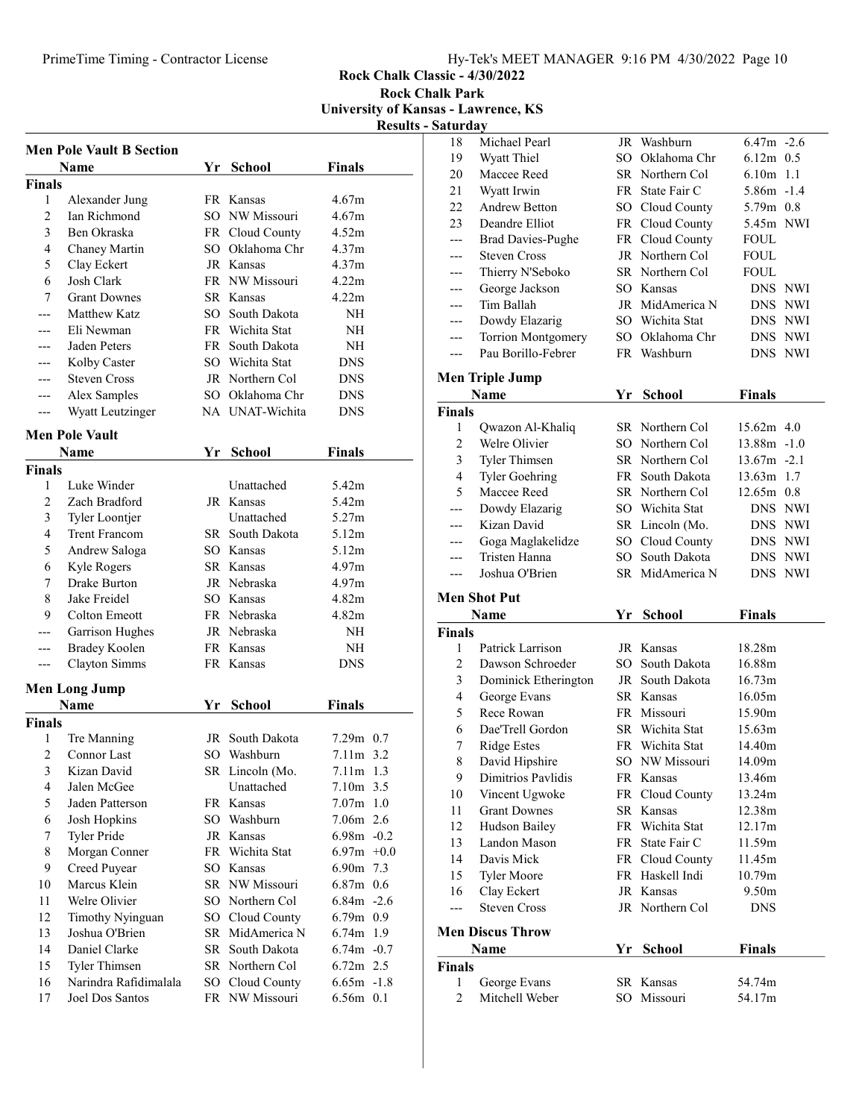Rock Chalk Classic - 4/30/2022

Rock Chalk Park University of Kansas - Lawrence, KS

|  | <b>Results - Saturday</b> |
|--|---------------------------|
|  |                           |

|                         |                                 |      |                 |               | ixcəuit |
|-------------------------|---------------------------------|------|-----------------|---------------|---------|
|                         | <b>Men Pole Vault B Section</b> |      |                 |               |         |
|                         | <b>Name</b>                     | Yr   | <b>School</b>   | <b>Finals</b> |         |
| <b>Finals</b>           |                                 |      |                 |               |         |
| 1                       | Alexander Jung                  |      | FR Kansas       | 4.67m         |         |
| $\overline{c}$          | Ian Richmond                    |      | SO NW Missouri  | 4.67m         |         |
| 3                       | Ben Okraska                     |      | FR Cloud County | 4.52m         |         |
| 4                       | Chaney Martin                   |      | SO Oklahoma Chr | 4.37m         |         |
| 5                       | Clay Eckert                     |      | JR Kansas       | 4.37m         |         |
| 6                       | Josh Clark                      |      | FR NW Missouri  | 4.22m         |         |
| 7                       | <b>Grant Downes</b>             |      | SR Kansas       | 4.22m         |         |
|                         | Matthew Katz                    |      | SO South Dakota | <b>NH</b>     |         |
|                         | Eli Newman                      |      | FR Wichita Stat | NH            |         |
|                         | Jaden Peters                    |      | FR South Dakota | NH            |         |
|                         | Kolby Caster                    |      | SO Wichita Stat | <b>DNS</b>    |         |
| ---                     | <b>Steven Cross</b>             |      | JR Northern Col | <b>DNS</b>    |         |
| ---                     | Alex Samples                    |      | SO Oklahoma Chr | DNS           |         |
| ---                     | Wyatt Leutzinger                |      | NA UNAT-Wichita | DNS           |         |
|                         | <b>Men Pole Vault</b>           |      |                 |               |         |
|                         | Name                            | Yr   | <b>School</b>   | <b>Finals</b> |         |
| Finals                  |                                 |      |                 |               |         |
| 1                       | Luke Winder                     |      | Unattached      | 5.42m         |         |
| 2                       | Zach Bradford                   |      | JR Kansas       | 5.42m         |         |
| 3                       | Tyler Loontjer                  |      | Unattached      | 5.27m         |         |
| 4                       | <b>Trent Francom</b>            |      | SR South Dakota | 5.12m         |         |
| 5                       | Andrew Saloga                   |      | SO Kansas       | 5.12m         |         |
| 6                       | Kyle Rogers                     |      | SR Kansas       | 4.97m         |         |
| 7                       | Drake Burton                    |      | JR Nebraska     | 4.97m         |         |
| 8                       | Jake Freidel                    |      | SO Kansas       | 4.82m         |         |
| 9                       | Colton Emeott                   |      | FR Nebraska     | 4.82m         |         |
| ---                     | Garrison Hughes                 |      | JR Nebraska     | NΗ            |         |
| ---                     | Bradey Koolen                   |      | FR Kansas       | NΗ            |         |
| ---                     | Clayton Simms                   |      | FR Kansas       | DNS           |         |
|                         |                                 |      |                 |               |         |
|                         | Men Long Jump                   |      |                 |               |         |
|                         | Name                            | Yr   | <b>School</b>   | <b>Finals</b> |         |
| Finals                  |                                 |      |                 |               |         |
| 1                       | Tre Manning                     | JR   | South Dakota    | 7.29m 0.7     |         |
| $\overline{c}$          | Connor Last                     | SO - | Washburn        | 7.11m 3.2     |         |
| 3                       | Kizan David                     |      | SR Lincoln (Mo. | 7.11m 1.3     |         |
| $\overline{\mathbf{4}}$ | Jalen McGee                     |      | Unattached      | 7.10m 3.5     |         |
| 5                       | Jaden Patterson                 |      | FR Kansas       | $7.07m$ 1.0   |         |
| 6                       | Josh Hopkins                    |      | SO Washburn     | 7.06m 2.6     |         |
| 7                       | <b>Tyler Pride</b>              |      | JR Kansas       | $6.98m - 0.2$ |         |
| 8                       | Morgan Conner                   |      | FR Wichita Stat | 6.97m         | $+0.0$  |
| 9                       | Creed Puyear                    |      | SO Kansas       | 6.90m         | 7.3     |
| 10                      | Marcus Klein                    |      | SR NW Missouri  | $6.87m$ 0.6   |         |
| 11                      | Welre Olivier                   |      | SO Northern Col | $6.84m -2.6$  |         |
| 12                      | Timothy Nyinguan                |      | SO Cloud County | $6.79m$ 0.9   |         |
| 13                      | Joshua O'Brien                  |      | SR MidAmerica N | 6.74m 1.9     |         |
| 14                      | Daniel Clarke                   |      | SR South Dakota | $6.74m - 0.7$ |         |

15 6.72m 2.5 Tyler Thimsen SR Northern Col 16 6.65m -1.8 Narindra Rafidimalala SO Cloud County 17 Joel Dos Santos FR NW Missouri 6.56m 0.1

| 18                      | Michael Pearl            |    | JR Washburn     | $6.47m -2.6$      |         |
|-------------------------|--------------------------|----|-----------------|-------------------|---------|
| 19                      | Wyatt Thiel              |    | SO Oklahoma Chr | $6.12m$ 0.5       |         |
| 20                      | Maccee Reed              |    | SR Northern Col | $6.10m$ 1.1       |         |
| 21                      | Wyatt Irwin              |    | FR State Fair C | 5.86m -1.4        |         |
| 22                      | Andrew Betton            |    | SO Cloud County | 5.79m 0.8         |         |
| 23                      | Deandre Elliot           |    | FR Cloud County | 5.45m NWI         |         |
| ---                     | <b>Brad Davies-Pughe</b> |    | FR Cloud County | <b>FOUL</b>       |         |
| ---                     | <b>Steven Cross</b>      |    | JR Northern Col | <b>FOUL</b>       |         |
| ---                     | Thierry N'Seboko         |    | SR Northern Col | <b>FOUL</b>       |         |
| ---                     | George Jackson           |    | SO Kansas       | DNS NWI           |         |
| ---                     | Tim Ballah               |    | JR MidAmerica N |                   | DNS NWI |
| ---                     | Dowdy Elazarig           |    | SO Wichita Stat | DNS NWI           |         |
| ---                     | Torrion Montgomery       |    | SO Oklahoma Chr | DNS NWI           |         |
| ---                     | Pau Borillo-Febrer       |    | FR Washburn     | DNS NWI           |         |
|                         |                          |    |                 |                   |         |
|                         | Men Triple Jump          |    |                 |                   |         |
|                         | Name                     | Yr | <b>School</b>   | <b>Finals</b>     |         |
| Finals                  |                          |    |                 |                   |         |
| 1                       | Qwazon Al-Khaliq         |    | SR Northern Col | $15.62m$ 4.0      |         |
| $\overline{c}$          | Welre Olivier            |    | SO Northern Col | $13.88m - 1.0$    |         |
| 3                       | Tyler Thimsen            |    | SR Northern Col | $13.67m - 2.1$    |         |
| $\overline{4}$          | <b>Tyler Goehring</b>    |    | FR South Dakota | 13.63m 1.7        |         |
| 5                       | Maccee Reed              |    | SR Northern Col | 12.65m 0.8        |         |
| ---                     | Dowdy Elazarig           |    | SO Wichita Stat |                   | DNS NWI |
| ---                     | Kizan David              |    | SR Lincoln (Mo. | DNS NWI           |         |
| ---                     | Goga Maglakelidze        |    | SO Cloud County | DNS NWI           |         |
| ---                     | Tristen Hanna            |    | SO South Dakota | DNS NWI           |         |
| ---                     | Joshua O'Brien           |    | SR MidAmerica N | DNS NWI           |         |
|                         | Men Shot Put             |    |                 |                   |         |
|                         | Name                     | Yr | <b>School</b>   | <b>Finals</b>     |         |
| Finals                  |                          |    |                 |                   |         |
| 1                       | Patrick Larrison         |    | JR Kansas       | 18.28m            |         |
| $\mathfrak{2}$          | Dawson Schroeder         |    | SO South Dakota | 16.88m            |         |
| 3                       | Dominick Etherington     |    | JR South Dakota | 16.73m            |         |
| $\overline{\mathbf{4}}$ | George Evans             |    | SR Kansas       | 16.05m            |         |
| 5                       | Rece Rowan               |    | FR Missouri     | 15.90m            |         |
| 6                       | Dae'Trell Gordon         |    | SR Wichita Stat | 15.63m            |         |
| 7                       | <b>Ridge Estes</b>       |    | FR Wichita Stat | 14.40m            |         |
| 8                       | David Hipshire           |    | SO NW Missouri  | 14.09m            |         |
| 9                       | Dimitrios Pavlidis       |    | FR Kansas       | 13.46m            |         |
| 10                      | Vincent Ugwoke           |    | FR Cloud County | 13.24m            |         |
| 11                      | <b>Grant Downes</b>      |    | SR Kansas       | 12.38m            |         |
| 12                      | Hudson Bailey            |    | FR Wichita Stat | 12.17m            |         |
| 13                      | Landon Mason             |    | FR State Fair C | 11.59m            |         |
| 14                      | Davis Mick               |    | FR Cloud County | 11.45m            |         |
| 15                      | <b>Tyler Moore</b>       |    | FR Haskell Indi | 10.79m            |         |
| 16                      | Clay Eckert              |    | JR Kansas       | 9.50 <sub>m</sub> |         |
| ---                     | <b>Steven Cross</b>      |    | JR Northern Col | <b>DNS</b>        |         |
|                         |                          |    |                 |                   |         |
|                         | <b>Men Discus Throw</b>  |    |                 |                   |         |
|                         | <b>Name</b>              | Yr | <b>School</b>   | <b>Finals</b>     |         |
| Finals                  |                          |    |                 |                   |         |
| 1                       | George Evans             |    | SR Kansas       | 54.74m            |         |
| $\overline{c}$          | Mitchell Weber           |    | SO Missouri     | 54.17m            |         |
|                         |                          |    |                 |                   |         |